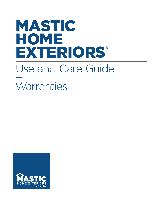# MASTIC HOME EXTERIORS® Use and Care Guide  $+$ **Warranties**

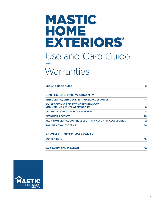## MASTIC HOME **EXTERIORS®** Use and Care Guide  $+$

# **Warranties**

| <b>USE AND CARE GUIDE</b>                                                      | 3  |
|--------------------------------------------------------------------------------|----|
| <b>LIMITED LIFETIME WARRANTY</b>                                               |    |
| <b>VINYL SIDING, VINYL SOFFIT + VINYL ACCESSORIES</b>                          | 4  |
| SOLARDEFENSE REFLECTIVE TECHNOLOGY™<br><b>VINYL SIDING + VINYL ACCESSORIES</b> | 6  |
| <b>CEDAR DISCOVERY AND ACCESSORIES</b>                                         | 8  |
| <b>DESIGNER ACCENTS</b>                                                        | 10 |
| <b>ALUMINUM SIDING, SOFFIT, SELECT TRIM COIL AND ACCESSORIES</b>               | 12 |
| <b>RAIN REMOVAL SYSTEMS</b>                                                    | 14 |

## **20-YEAR LIMITED WARRANTY**

| <b>GUTTER COIL</b>           | 16 |
|------------------------------|----|
|                              |    |
| <b>WARRANTY REGISTRATION</b> | 18 |

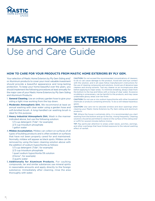

# MASTIC HOME EXTERIORS Use and Care Guide

### **HOW TO CARE FOR YOUR PRODUCTS FROM MASTIC HOME EXTERIORS BY PLY GEM.**

Your selection of Mastic Home Exteriors by Ply Gem Siding and/ or Aluminum products to cover your most valuable investment should provide a beautiful appearance and long-lasting protection. To keep your home beautiful over the years, you should implement the following procedures at least annually for the major care of your Mastic Home Exteriors by Ply Gem Siding and Aluminum Products:

- 1. **General Cleaning.** Use an ordinary garden hose to give your siding a light rinse working from the top down.
- 2. **Moderate Atmospheric Dirt.** We recommend at least an annual washing with clear water using a garden hose and soft-bristled brush. A long-handled car washing brush is ideal for this purpose.
- 3. **Heavy Industrial Atmospheric Dirt.** Wash in the manner indicated above, but use the following solution:
	- 1/3 cup detergent (Tide®, for example) 2/3 cup trisodium phosphate
	-

1 gallon water

4.**Mildew Accumulation.** Mildew can collect on surfaces of all types of building products and is often evident on surfaces that have not been properly cared for and maintained. Normally, mildew will appear as black spots. Mildew can be removed by using the basic cleaning solution above with the addition of sodium hypochlorite as follows:

1/3 cup detergent (Tide®, for example)

2/3 cup trisodium phosphate

1 quart sodium hypochlorite 5% solution

(Clorox®, for example)

3 quarts water

5. **Additionally for Aluminum Products.** For caulking compounds, tar and similar substances use mineral spirits in reasonable amounts and apply directly to the foreign substance. Immediately after cleaning, rinse the area thoroughly with water.

CAUTION: Do not exceed the recommended concentrations of cleaners; to do so can cause damage to the product. Avoid skin and eye contact with the solution, and in all cases follow manufacturer's instructions for the use of cleaning compounds and solutions. Avoid use of abrasive-type cleaners and strong solvents. Test any cleaner on an inconspicuous area before applying to major areas. To minimize streaking, always clean from the bottom to the top and follow with a rinsing of clear water. Excessive scrubbing is unnecessary, can be harmful to the products, and may cause undesirable glossy areas over the finish.

CAUTION: Do not use or mix sodium hypochlorite with other household chemicals or products containing ammonia. To do so will release hazardous gases.

CAUTION: Use care not to saturate window and door openings when cleaning your Mastic Home Exteriors by Ply Gem siding and aluminum products.

TIP: Where the house is extremely dirty, it is recommended you start washing from the bottom and go to the top, rinsing frequently. Cleaning solutions should be permitted to stand on the surface of the siding and/ or soffit for several minutes before rinsing.

TIP: Pay particular attention to areas under eaves, porches, awnings, and other overhangs that have limited exposure to the natural washing effect of rainfall.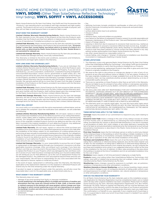## MASTIC HOME EXTERIORS V.I.P. LIMITED LIFETIME WARRANTY **VINYL SIDING** (Other Than SolarDefense Reflective Technology™ Vinyl Siding), VINYL SOFFIT + VINYL ACCESSORIES



Mastic Home Exteriors by Ply Gem Vinyl Siding, Vinyl Soffit and Vinyl Accessories (the "Products") are manufactured in accordance with high standards and tight quality controls. The Products will not rust or corrode because they are made of polymer, and they will not flake or peel because there is no paint to flake or peel.

#### **WHAT DOES THIS WARRANTY COVER?**

**Limited Lifetime Warranty Manufacturing Defects.** Mastic Home Exteriors by Ply Gem warrants to you, the owner of the property at the time the Products were installed, that the Products are free from defects in material and workmanship in the course of manufacture if installed according to our specifications.

**Limited Fade Warranty.** Mastic Home Exteriors by Ply Gem also warrants to you that for a limited period specified below, the Products will not excessively fade. "Excessive Fading" is more than 'normal fading' (see below) which is in excess of a Delta E of 4 Hunter units, as determined by Mastic Home Exteriors by Ply Gem. Musket Brown is not warranted for sidewall use.

**Limited Hail Damage Warranty.** Mastic Home Exteriors by Ply Gem also provides you with a limited hail damage warranty, more fully outlined below.

This Warranty is limited to the terms and conditions, exclusions and limitations, requirements and legal rights stated in this Warranty.

#### **HOW LONG DOES THE COVERAGE LAST?**

**Limited Lifetime Warranty Manufacturing Defects.** If you are an individual, this Limited Lifetime Warranty lasts for the life of the property on which the Products were originally applied ("Property") for as long as you own the Property. If you are not an individual (e.g., you are a corporation, condominium, cooperative housing arrangement, unincorporated association, school, church, government or public entity, etc.), the warranty period will be 50 years from the date of original installation of the Products on the Property, prorated as outlined in the Warranty Coverage Schedule below. This Limited Lifetime Warranty may be transferred with the Property. However, upon the transfer, the warranty period will be no more than 50 years from the date of original installation of the Products on the Property, prorated in accordance with the Warranty Coverage Schedule below.

**Limited Fade Warranty.** Mastic Home Exteriors by Ply Gem excessive fade warranty will last as long as Mastic Home Exteriors by Ply Gem Limited Lifetime Warranty lasts, and upon transfer with the Property, shall continue based upon the coverage terms for the Mastic Home Exteriors by Ply Gem Limited Lifetime Warranty.

**Limited Hail Damage Warranty.** Mastic Home Exteriors by Ply Gem hail damage warranty will last as long as Mastic Home Exteriors by Ply Gem Lifetime Limited Warranty lasts, and upon transfer with the Property, shall continue based upon the coverage terms for the Mastic Home Exteriors by Ply Gem Limited Lifetime Warranty.

#### **WHAT WILL WE DO?**

You must notify us in accordance with the notice requirements outlined below, and we must validate the complaint. Upon the notification and validation, we will undertake the following:

**Limited Lifetime Warranty Manufacturing Defect.** We will repair, replace or refund the purchase and installation price of the defective portion of our siding that blisters, checks, crazes, flakes, peels or weathers unevenly due to a defect in our manufacturing process. Our obligations under this Warranty will in no event exceed the purchase price of the originally installed Products found to be defective and the cost of the labor involved in the original installation of such defective Products. Any additional costs and expenses beyond these amounts are your responsibility.

**Limited Fade Warranty.** We will repair, replace or refund the initial purchase and installation price of any portion of our siding that experiences excessive color fade after the installation of the siding, subject to our examination of a siding sample and you performing at least annually as preventative maintenance the cleaning. Our obligations under this Warranty will in no event exceed the purchase price of the originally installed Products found to be defective and the cost of the labor involved in the original installation of such defective Products. Any additional costs and expenses beyond these amounts are your responsibility.

**Limited Hail Damage Warranty.** It is your responsibility to pursue the cost of repair or replacement of damaged material through your homeowner's insurance or all other applicable insurance coverage. After you exhaust such coverage, if you have any Product cost that you have incurred in the purchase of the Product that is necessary to replace the Product on your Property which was damaged by hail, and these costs are in excess of your total insurance coverage (excluding your insurance deductible), we will reimburse you for that difference, up to the cost of replacement Product for the damaged Product. Any additional costs and expense beyond these amounts are your responsibility. We will have no responsibility for any costs associated with the labor required to remove, replace or install any Product.

In the event of repair, replacement or refinishing under this Warranty, the Warranty applicable to the replacement material or to the repaired or refinished Products will extend only for the time remaining under the original Warranty.

If we elect to repair or replace Product under this warranty, we will also cover the reasonable labor costs for the applicable area, as determined solely by us.

#### **WHAT DOESN'T THIS WARRANTY COVER?**

This Warranty does not cover:

- damage of any kind resulting from faulty or improper installation;
- normal weathering is the damaging effects of sunlight and extremes of weather and atmosphere that may cause any colored surface to fade, chalk, or become soiled or stained; exposure to the elements will cause gradual, uniform change over time; the degree to which normal weathering occurs will vary depending on air quality, the building's location and other local conditions over which we have no control. • accidental damage;
- settlement;
- structural shrinkage or distortion of the property structure;
- fire;
- lightning, hurricane, tornado, windstorm, earthquake, or other acts of God;
- harmful chemicals (including harmful cleaning compounds and pesticides);
- fumes or vapors;
- surface deterioration due to air pollution; • misuse or abuse;
- vandalism;
- airborne stains, mold and mildew accumulation;
- your failure (or the failure of subsequent Property owners) to provide reasonable and necessary maintenance of the Products (see "Care and Maintenance Instructions"); • impact of foreign objects;
- warping or distortion due to exposure to excessive heat sources (e.g., barbecue grills) or exposure to unusual or excessive reflective heat sources (e.g., skylight or window reflection, roofing materials, pools, decks, blacktop, or concrete materials);
- Products that have been painted or whose surface has been altered in any way without written authorization from Mastic Home Exteriors by Ply Gem;
- any other causes beyond our reasonable control; or uneven fading, color change or "striping" of siding due to installation over dissimilar,
- inconsistent or inadequate sheathing or backer board.

#### **OTHER LIMITATIONS**

- 1. This Warranty covers only genuine Mastic Home Exteriors by Ply Gem Vinyl Siding (other than SolarDefense Reflective Technology™ vinyl siding), Soffit and Accessories. It is your responsibility to verify that the products installed are our Products.
- 2. Due to normal weathering, replacement Products may differ in gloss and color from Products originally installed on the Property.
- 3. We reserve the right to discontinue or change any design or color of any of our products at any time and without notice or liability. If, for any reason, Products of the type originally installed are no longer available from us at the time you make a warranty claim, we may substitute another product determined by us to be of comparable quality and price.
- 4. There are no warranties on these Products other than as set forth in this Warranty. We are not liable to you for a breach of any other written or oral express warranties. such as those, if any, given to you by dealers, contractors, applicators, or distributors of the Products.
- 5. WE EXCLUDE AND ARE NOT RESPONSIBLE FOR ANY CONSEQUENTIAL OR INCIDENTAL DAMAGES ARISING OUT OF ANY BREACH OF THIS EXPRESSED WARRANTY, OR ANY OTHER ORAL, WRITTEN OR IMPLIED WARRANTY THAT MAY APPLY TO YOUR PURCHASE, AS IT RELATES TO OUR PRODUCTS. THIS IS YOUR EXCLUSIVE WARRANTY AND IS IN LIEU OF ALL OTHER WARRANTIES, EXPRESS OR IMPLIED, INCLUDING BUT NOT LIMITED TO IMPLIED WARRANTIES
- OF MERCHANTABILITY AND FITNESS FOR A PARTICULAR PURPOSE. 6. This Warranty gives you specific legal rights. You may also have other rights which vary from state to state. SOME STATES DO NOT ALLOW THE EXCLUSION OR LIMITATION OF INCIDENTAL OR CONSEQUENTIAL DAMAGES, SO THE ABOVE LIMITATION OR EXCLUSION MAY NOT APPLY TO YOU.

#### **THESE DEFINITIONS APPLY TO THE TERMS USED:**

**Coverage** means the extent of our commitment to respond to any claim relating to the siding.

**Excessive Color Fade** means a change in the color of any siding in excess of a Delta E of four Hunter units, as determined by us, following the initial installation of the siding, provided that any uneven or abnormal fade distribution is not due to a buildup or accumulation of stains, dirt, mold, mildew, or any other deficiency caused by the lack of at least an annual preventative maintenance by the homeowner as such annual preventative maintenance is described in the Mastic Home Exteriors by Ply Gem Installation Manual.

**First-time Transferee** means the first individual, person or entity to which any interest of the initial purchaser in the building on which the siding is initially installed or in the siding itself is voluntarily or involuntarily conveyed, transferred or assigned, whether by gift, sale or operation of law, after the initial installation of the siding.

**Purchase and Installation Price** means the sum of (a) the total original cost of the siding that is defective or otherwise being replaced, plus (b) the total original cost of labor for the installation of siding that is defective or otherwise being replaced. If we cannot determine these amounts from original documents, we will compute the purchase and installation price using (i) our suggested retail price in effect at the time of the installation for the cost of material, (ii) labor rates prevailing in the area where the building is located at the time of installation and (iii) an estimated installation time for the cost of labor.

**Residence** means regular or full-time permanent lodging by a single family.

**Products** means vinyl siding (other than SolarDefense Reflective Technology vinyl siding), vinyl soffit or related vinyl accessories (but not scallops, shakes, or trim coil) manufactured by Mastic Home Exteriors by Ply Gem.

**Weathering** means changes caused by exposure to sunlight, rain, air pollution, variations in temperature and other atmospheric conditions.

**Weathers Unevenly or Uneven Weathering,** such as checker boarding, means uneven or non-uniform change in color of contiguous elements of siding under uniform, even and equal exposure to sunlight, natural radiation, rain, natural variations in temperature or other atmospheric conditions.

#### **HOW DO YOU REGISTER YOUR WARRANTY?**

For all Mastic Home Exteriors by Ply Gem materials used on this installation project, one Application for Warranty Registration must be completed at mastic.com or mailed within 30 days after original installation has been completed. Please mail it to Mastic Home Exteriors by Ply Gem, Warranty Registration Department, P.O. Box 110100, Pittsburgh, PA 15232. Failure to register the Warranty will not void the Warranty, but registration of this Warranty confirms the date of purchase of our Products and assists Mastic Home Exteriors by Ply Gem in processing any Warranty claim you might have. This confirmation is of benefit to you, especially if your original proof of purchase is lost. It is a good idea to retain your proof of purchase incase it is needed if you submit a warranty claim.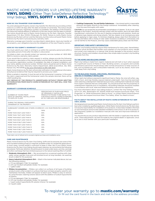### MASTIC HOME EXTERIORS V.I.P. LIMITED LIFETIME WARRANTY **VINYL SIDING** (Other Than SolarDefense Reflective Technology™ Vinyl Siding), VINYL SOFFIT + VINYL ACCESSORIES



#### **HOW DO YOU TRANSFER YOUR WARRANTY?**

You and subsequent Property owners may transfer this Warranty by providing written notice to us within 30 days after the date of transfer of ownership. The notice should include the warranty registration number (if available), the address of the Property, the name and mailing address (if different) of the new owners and the date of transfer. The notice should be sent to Mastic Home Exteriors by Ply Gem, Warranty Transfer Department, P.O. Box 110100, Pittsburgh, PA 15232. Failure to notify Mastic Home Exteriors by Ply Gem will not void the Warranty, but the notice will assist Mastic Home Exteriors by Ply Gem in processing any warranty claim.

Warranty coverage upon transfer is as described in detail above. Upon any transfer of the property, your obligations become the obligations of the new Property owners.

#### **HOW DO YOU SUBMIT A WARRANTY CLAIM?**

You must submit your claim in writing to us within the warranty period and within a reasonable period of time after the defect is discovered.

To initiate a claim, you should contact our warranty services number at 1-800-962- 3563 to receive a warranty claims packet.

If you would like to submit a claim request in writing, please provide the following information: a description of the claimed defect and the date the defect was discovered; the warranty registration number (if available); the date of original installation; and your name, address and phone number. Written claims should be sent to Mastic Home Exteriors by Ply Gem, Warranty Claims Department, 2600 Grand Blvd., Ste. 900, Kansas City, MO 64108 or fax your information to 816-426-8210.

Mastic Home Exteriors by Ply Gem will provide notification of any additional information and physical evidence that may be required to process your claim.

When a sample is required, it must be sent at the homeowner's expense. In the event the claim is approved and the homeowner wants the sample returned, there will be a \$25 handling fee.

ANY REPAIR OF THE PRODUCTS UNDERTAKEN WITHOUT PRIOR WRITTEN AUTHORIZATION FROM MASTIC HOME EXTERIORS BY PLY GEM WILL VOID THIS WARRANTY.

#### **WARRANTY COVERAGE SCHEDULE**

| NUMBER OF YEARS FROM<br>DATE OF ORIGINAL INSTALL ATION<br>TO DATE OF CLAIM | PERCENTAGE OF PURCHASE PRICE<br>OF ORIGINALLY INSTALLED<br>PRODUCTS FOUND TO BE DEFECTIVE<br>FOR WHICH MASTIC HOME EXTERIORS<br>BY PLY GEM WILL BE RESPONSIBLE |  |
|----------------------------------------------------------------------------|----------------------------------------------------------------------------------------------------------------------------------------------------------------|--|
| DURING THE ORIGINAL PURCHASER'S<br>OWNERSHIP OF THE PROPERTY:              | 100%                                                                                                                                                           |  |
| SUBSEQUENT OWNERS AND OTHERS COVERED BY A 50-YEAR PRORATED WARRANTY:       |                                                                                                                                                                |  |
| $O - 5$                                                                    | 100%                                                                                                                                                           |  |
| MORE THAN 5 BUT LESS THAN 7                                                | 90%                                                                                                                                                            |  |
| MORE THAN 7 RUT LESS THAN 8                                                | 80%                                                                                                                                                            |  |
| MORE THAN 8 BUT LESS THAN 9                                                | 70%                                                                                                                                                            |  |
| MORE THAN 9 BUT LESS THAN 10                                               | 60%                                                                                                                                                            |  |
| MORE THAN 10 BUT LESS THAN 11                                              | 50%                                                                                                                                                            |  |
| MORE THAN 11 BUT LESS THAN 12                                              | 40%                                                                                                                                                            |  |
| MORE THAN 12 BUT LESS THAN 13                                              | 30%                                                                                                                                                            |  |
| MORE THAN 13 BUT LESS THAN 14                                              | 20%                                                                                                                                                            |  |
| MORE THAN 14 BUT LESS THAN 50                                              | 10%                                                                                                                                                            |  |

Total claim cost of refund not to exceed original purchase and installation price.

#### **CARE AND MAINTENANCE**

Mastic Home Exteriors by Ply Gem Vinyl Siding, Soffit and Accessories are some of the most durable building products materials available today for residential applications. In most cases, normal rainfall is sufficient to keep it clean. But if your Mastic Home Exteriors by Ply Gem Vinyl Siding should need cleaning, we recommend the following procedures. Particular attention should be given to areas under eaves, porches, awnings and other overhangs that have limited exposure to the natural washing effect of rainfall.

- 1. **Moderate Atmospheric Dirt** We recommend an occasional washing with clear water using a garden hose and soft-bristled brush (a long-handled, car-washing brush is ideal for this purpose).
- 2. **Heavy Industrial Atmospheric Dirt** Wash in the manner indicated above, but use the following solution:
- a. 1/3 cup detergent (Tide®, for example)
- b. 2/3 cup trisodium phosphate (Soilax®, for example)
- c. 1 gallon water
- 3. **Mildew Accumulation** Mildew can collect on surfaces of all types of building products and is often evident on surfaces that have not been properly cared for and maintained. Normally, mildew will appear as black spots. Mildew is easy to remove by using the basic cleaning solution above with the addition of sodium hypochlorite as follows:
	- a. 1/3 cup detergent (Tide<sup>®</sup>, for example)
	- b. 2/3 cup trisodium phosphate (Soilax®, for example)
	- c. 1 quart sodium hypochlorite 5% solution (Clorox®, for example)
	- d. 3 quarts water

4. **Caulking Compounds, Tar and Similar Substances** — Use mineral spirits in reasonable amounts and apply directly to the foreign substance. Immediately after cleaning, rinse the area thoroughly with water.

CAUTION: Do not exceed the recommended concentrations of cleaners. To do so can cause damage to the Product. Avoid skin and eye contact with the solution, and in all cases follow manufacturer's instructions for the use of cleaning compounds and solutions. Avoid use of abrasive-type cleaners and strong solvents. Test any cleaner on an inconspicuous area before applying to major areas. To minimize streaking, always clean from the bottom to the top and follow with a rinsing of clear water. Excessive scrubbing is unnecessary and can be harmful to the Products, and may cause undesirable glossy areas over the finish.

#### **IMPORTANT: FIRE SAFETY INFORMATION**

Exterior vinyl building materials require little maintenance for many years. Nevertheless, common sense dictates that builders and suppliers of vinyl products store, handle and install vinyl materials in a manner that avoids damage to the product and/or structure. Owners and Installers should take a few simple steps to protect vinyl building materials from fire.

#### **TO THE HOME AND BUILDING OWNER**

Rigid vinyl siding is made from organic material and will melt or burn when exposed to a significant source of flame or heat. Building owners, occupants and outside maintenance personnel should always take normal precautions to keep sources of fire, such as barbecues, and combustible materials, such as dry leaves, mulch and trash away from vinyl siding.

#### **TO THE BUILDING TRADES, SPECIFIERS, PROFESSIONAL AND DO-IT-YOURSELF INSTALLERS**

When rigid vinyl siding is exposed to significant heat or flame, the vinyl will soften, sag, melt or burn, and may thereby expose material underneath. Care must be exercised when selecting underlayment materials because many underlayment materials are made from organic materials that are combustible. You should ascertain the fire properties of underlayment materials prior to installation. All building materials should be installed in accordance with local, state and federal building code and fire regulations.

For more information about vinyl siding products, contact the Vinyl Siding Institute, 1275 K St. NW, Washington DC 20005-4006 and request brochures titled, "Fire<br>Properties" or "What Homeowners Want to Know", or contact Mastic Home Exteriors<br>by Ply Gem and request brochure titled "Fire Safety, What You Need

#### **FACTS ABOUT THE INSTALLATION OF MASTIC HOME EXTERIORS BY PLY GEM VINYL SIDING**

We designed and manufactured Mastic Home Exteriors by Ply Gem Vinyl Siding to perform best when installed by qualified applicators. While Mastic Home Exteriors by Ply Gem does not assume responsibility for installation of its products, it does keep installers informed on new techniques and provides detailed installation instructions on all of its products. We frequently update our installation manuals with new and improved methods of application.

You should discuss any product adjustments with the dealer or applicator that did the work. These adjustments can best be made by the original dealer or applicator, since he or she is most familiar with your particular installation.

## To register your warranty go to **mastic.com/warranty**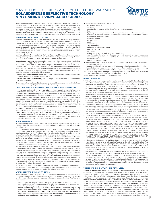### MASTIC HOME EXTERIORS V.I.P. LIMITED LIFETIME WARRANTY SOLARDEFENSE REFLECTIVE TECHNOLOGY VINYL SIDING + VINYL ACCESSORIES



Mastic Home Exteriors by Ply Gem manufactures SolarDefense Reflective Technology® Vinyl Siding and Vinyl Accessories (the "Products") in accordance with high standards and tight quality controls, and the Products will not rust or corrode, because they are made of polymer, or flake or peel, because there is no paint to flake or peel. It is important for you to know that Mastic Home Exteriors by Ply Gem supports its Products and that, as a consumer-purchaser, Mastic Home Exteriors by Ply Gem will respond to notice from you regarding any product concerns according to the terms set forth below.

#### **WHAT DOES THIS WARRANTY COVER?**

Mastic Home Exteriors by Ply Gem warrants to you, the owner of the property at the time the Products were originally installed, that, upon notice from you as required herein, Mastic Home Exteriors by Ply Gem will provide replacement product or refund (as provided below) to correct any of the following conditions if such condition is directly caused by a manufacturing defect in the Product as determined by Mastic Home Exteriors by Ply Gem and has resulted in a significant impairment in usage, provided the Products are installed according to the specifications of Mastic Home Exteriors by Ply Gem.

**Limited Lifetime Manufacturing Defects Warranty.** Blistering, checking, crazing, flaking, peeling, rot or corrosion if it is directly caused by a manufacturing defect in the Product as determined by Mastic Home Exteriors by Ply Gem.

**Limited Fade Warranty.** Excessive fade, which is more than 'normal fading' (see below) and is in excess of (i) a Delta E of 1 Hunter unit outside the manufacturing tolerances in the first 5 years from the date of the original installation of the Products on the Property and (ii) a Delta E of 2 Hunter units outside the manufacturing tolerances after the first 5 years from the date of the original installation of the Products on the Property. Excessive fade shall be determined by Mastic Home Exteriors by Ply Gem based on our examination of a siding sample.

**Limited Heat Distortion Warranty.** Heat distortion from normal conditions or normal reflective light sources (see exclusions below).

**Limited Hail Damage Warranty.** Hail damage on the terms and conditions more fully outlined below.

These warranties are limited to the terms and conditions, exclusions and limitations, requirements and legal rights set forth in this Warranty.

#### **HOW LONG DOES THE WARRANTY LAST AND CAN IT BE TRANSFERRED?**

If you are an individual, the Limited Lifetime Manufacturing Defects Warranty, Limited Fade Warranty, Limited Heat Distortion Warranty and Limited Hail Damage Warranty will last for as long as you own and reside in the property on which the Products were originally installed ("Property"). If you are not an individual (e.g., a corporation, condominium, cooperative housing arrangement, unincorporated association, school, church, government or public entity, etc.) or the Products are installed in a multi-family, non-owner occupied or commercial application (such as condominiums, rental properties, apartments, office buildings, schools, churches, government buildings, etc.), the warranty period will be 50 years from the date of the original installation of the Products on the Property, prorated as outlined in the Warranty Coverage Schedule below.

The Limited Lifetime Manufacturing Defects Warranty, Limited Fade Warranty, Limited Heat Distortion Warranty and Limited Hail Damage Warranty may be transferred with the Property; however, upon the transfer, the warranty period will be no more than 50 years from the date of the original installation of the Products on the Property, prorated in accordance with the Warranty Coverage Schedule below.

#### **WHAT WILL WE DO?**

You must notify us in accordance with the notice requirements outlined below, and we must validate the complaint. Upon the notification and validation, we will undertake the following:

At our sole option, we will repair, replace or refund the original purchase and installation price (as prorated in accordance with the Warranty Coverage Schedule below, if applicable) of any of the Products we determine to be defective under the terms of this Warranty. Our obligations under this Warranty will in no event exceed the original purchase price of the Products found to be defective and the cost of the labor involved in the original installation of such defective Products. Any additional costs and expenses beyond these amounts are your responsibility. If we elect to repair or replace Product under this warranty, we will also cover the reasonable labor costs for the applicable area, as determined solely by us.

For the Limited Hail Damage Warranty, it is your responsibility to pursue the cost of repair or replacement of damaged material through all applicable insurance coverage, including homeowner's insurance. After you exhaust such coverage, if you have any Product cost that you have incurred in the purchase of the Product that is necessary to replace the Product on your Property which was damaged by hail, and these costs are in excess of your total insurance coverage (excluding your insurance deductible), we will reimburse you for that difference, up to the original purchase price for the damaged Product. Any additional costs and expense beyond these amounts are your responsibility. We will have no responsibility for any costs associated with the labor required to remove, replace or install any Product damaged by hail.

In the event of repair, replacement or refinishing under this Warranty, the Warranty applicable to the replacement material or to the repaired or refinished Products will extend only for the time remaining under the original Warranty.

#### **WHAT DOESN'T THIS WARRANTY COVER?**

Any obligation of Mastic Home Exteriors by Ply Gem hereunder is contingent upon proper installation per manufacturer's instructions and good building practices, normal product use, maintenance and proper care, including annual cleaning. This Warranty does not cover:

- any condition not directly caused by a defect in a Product as manufactured. • any installation or defects or damage of any kind attributable to or resulting from installation, including faulty or improper installation.
- normal weathering or changes in surface color resulting from chalking, fading, discoloring, soiling or staining. Exposure to sunlight, the elements, weather and atmospheric conditions may cause these changes over time, and the degree to which weathering occurs will vary depending on air quality, the building's location and other local conditions over which we have no control.
- normal wear or conditions caused by:
- accidental damage; - settlement;
- structural shrinkage or distortion of the property structure;
- fire;
- lightning, hurricane, tornado, windstorm, earthquake, or other acts of God; - corrosive or abrasive products or harmful chemicals (including harmful cleaning compounds and pesticides);
- fumes or vapors;
- air pollution;
- neglect;
- mishandling;
- improper care;
- improper or harmful cleaning; - misuse or abuse;
- vandalism;
- airborne stains, mold and mildew accumulation;
- your failure (or the failure of subsequent property owners) to provide reasonable and necessary maintenance of the Products (see "Care and Maintenance Instructions"); and
- impact of foreign objects.
- warping or distortion due to exposure to unusual or excessive heat sources (e.g., fire, barbecue grills, etc.).
- Products that have been altered, modified or subjected to unauthorized repair. • Products that have been painted or whose surface has been altered in any way
- without written authorization from Mastic Home Exteriors by Ply Gem. uneven fading, color change or "striping" due to installation over dissimilar,
- inconsistent or inadequate sheathing or backer board. • any other causes beyond our reasonable control.

#### **OTHER LIMITATIONS**

- 1. This Warranty covers only genuine Mastic Home Exteriors by Ply Gem SolarDefense Reflective Technology Vinyl Siding and Vinyl Accessories. It is your responsibility to verify that the products installed are our Products. It is a good idea to retain your proof of purchase in case it is needed if you submit a warranty claim.
- 2. Replacement products may differ in gloss and/or color from Products originally installed on the Property, and Mastic Home Exteriors by Ply Gem shall not be responsible or liable as a result of such variance.
- 3. We reserve the right to discontinue or change any of our products, including design and color changes, at any time and without notice or liability. If, for any reason, Products of the type originally installed are no longer available from us at the time you make a warranty claim, we may substitute another product determined by us to be of comparable quality and/or price and shall not be liable as a result of any difference.
- 4. There are no warranties on these Products other than as set forth in this Warranty, and no dealer, contractor, applicator, distributor or other is authorized to change or add to this Warranty. We are not liable to you for a breach of any other written or oral express warranties, such as those, if any, given to you by dealers, contractors, applicators, or distributors of the Products. You agree that no action or inaction of Mastic Home Exteriors by Ply Gem shall constitute a waiver.
- 5. THIS IS THE SOLE WARRANTY FOR THE PRODUCTS, AND ALL OTHER WARRANTIES, INCLUDING OF MERCHANTABILITY AND FITNESS FOR PURPOSE, ARE DISCLAIMED AND EXCLUDED. THIS IS YOUR EXCLUSIVE WARRANTY AND IS IN LIEU OF ALL OTHER WARRANTIES, EXPRESS OR IMPLIED, INCLUDING BUT NOT LIMITED TO IMPLIED WARRANTIES OF MERCHANTABILITY AND FITNESS FOR A PARTICULAR PURPOSE, REMEDIES OR CLAIMS, IRRESPECTIVE OF SOURCE AND MASTIC HOME EXTERIORS BY PLY GEM'S NEGLIGENCE. WE EXCLUDE AND IN NO EVENT SHALL WE BE RESPONSIBLE FOR ANY LOSS OF USE, LOST PROFIT, DIMINUTION IN VALUE, CONSEQUENTIAL, SPECIAL, INDIRECT, EXEMPLARY, PUNITIVE OR INCIDENTAL DAMAGES OF ANY KIND. UNDER NO CIRCUMSTANCE SHALL WE BE LIABLE FOR AN AMOUNT EXCEEDING THE PURCHASE PRICE OF THE AFFECTED PRODUCT. COURSE OF DEALINGS, CUSTOM AND USAGE, STATEMENTS, LABELS, ADVERTISING AND PRODUCT REPRESENTATIONS OF ANY KIND SHALL NOT EXPAND THE SCOPE OF THIS WARRANTY.
- 6. Where these limitations are prohibited or otherwise altered by mandatory legal provisions, the warranty shall remain effective to the full extent of the law. This Warranty gives you specific legal rights. You may also have other rights which vary from state to state. SOME STATES DO NOT ALLOW THE EXCLUSION OR LIMITATION OF INCIDENTAL OR CONSEQUENTIAL DAMAGES, SO THE ABOVE LIMITATION OR EXCLUSION MAY NOT APPLY TO YOU.
- 7. Mastic Home Exteriors by Ply Gem Products are often designed and tested in accordance with required standard procedures established by industry associations. These measure performance of sample products in a laboratory-type setting. To pursue consistency, Mastic Home Exteriors by Ply Gem manufactures its products for sale utilizing the same methods and materials as in fabrication of a product for testing. All product components and manufacturing processes, however, involve an inherent range of tolerance. These and other factors can result in some variance among individual product performance.

#### **THESE DEFINITIONS APPLY TO THE TERMS USED:**

**Excessive Fade** means a change in the color of any siding in excess of (i) a Delta E of 1 Hunter unit outside the manufacturing tolerances within 5 years from the date of the original installation of the Products on the Property and (ii) a Delta E of 2 Hunter units outside the manufacturing tolerances after 5 years from the date of the original installation of the Products on the Property, provided that any uneven or abnormal fade distribution is not due to a buildup or accumulation of stains, dirt, mold, mildew, or any other deficiency caused by the lack of at least annual preventative maintenance by the homeowner as such annual preventative maintenance is described in the Mastic Home Exteriors by Ply Gem Installation Manual. Excessive fade shall be determined by Mastic Home Exteriors by Ply Gem based on our examination of a siding sample.

**Purchase and Installation Price** means the sum of (a) the total original cost of the siding that is defective or otherwise being replaced, plus (b) the total original cost of labor for the installation of siding that is defective or otherwise being replaced. If we cannot determine these amounts from original documents, we will compute the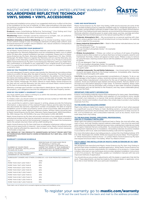## MASTIC HOME EXTERIORS V.I.P. LIMITED LIFETIME WARRANTY SOLARDEFENSE REFLECTIVE TECHNOLOGY VINYL SIDING + VINYL ACCESSORIES



purchase and installation price using (i) our suggested retail price in effect at the time of the installation for the cost of material, (ii) labor rates prevailing in the area where the building is located at the time of installation and (iii) an estimated installation time for the cost of labor.

**Products** means SolarDefense Reflective Technology™ Vinyl Siding and Vinyl Accessories manufactured by Mastic Home Exteriors by Ply Gem.

**Weathering** means changes caused by exposure to sunlight, rain, air pollution, variations in temperature and other atmospheric conditions.

**Weathers Unevenly or Uneven Weathering**, such as checker boarding, means uneven or non-uniform change in color of contiguous elements of siding under uniform, even and equal exposure to sunlight, natural radiation, rain, natural variations in temperature or other atmospheric conditions.

#### **HOW DO YOU REGISTER YOUR WARRANTY?**

For all Mastic Home Exteriors by Ply Gem materials used on this installation project, one Application for Warranty Registration must be completed at mastic.com or mailed within 30 days after original installation has been completed. Please mail it to Mastic Home Exteriors by Ply Gem, Warranty Registration Department, P.O. Box 110100, Pittsburgh, PA 15232. Failure to register the Warranty will not void the Warranty, but registration of this Warranty confirms the date of purchase of our Products and assists Mastic Home Exteriors by Ply Gem in processing any Warranty claim you might have. This confirmation is of benefit to you, especially if your original proof of purchase is lost. It is a good idea to retain your proof of purchase in case it is needed if you submit a warranty claim.

#### **HOW DO YOU TRANSFER YOUR WARRANTY?**

You and subsequent Property owners may transfer this Warranty by providing written notice to us within 30 days after the date of transfer of ownership. The notice should include the warranty registration number (if available), the address of the Property, the name and mailing address of the new owners and the date of transfer. The notice should be sent to Mastic Home Exteriors by Ply Gem, Warranty Transfer Department, P.O. Box 110100, Pittsburgh, PA 15232. Failure to notify Mastic Home Exteriors by Ply Gem will not void the Warranty, but the notice will assist Mastic Home Exteriors by Ply Gem in processing any warranty claim.

Warranty coverage upon transfer is as described in detail above. Upon any transfer of the property, your obligations become the obligations of the new Property owners.

#### **HOW DO YOU SUBMIT A WARRANTY CLAIM?**

You must submit your claim in writing to us within the warranty period and within thirty (30) days of product failure.

To initiate a claim, you should contact our warranty services number at 1-800-962- 3563 to receive a warranty claims packet.

If you would like to submit a claim request in writing, please provide the following information: a description of the claimed Product failure and the date the failure was discovered; the warranty registration number (if available); the date of original installation; proof of status as property owner; proof of purchase; date and place of purchase; and your name, address and phone number. Written claims should be sent to Mastic Home Exteriors by Ply Gem, Warranty Claims Department, 2600 Grand Blvd., Ste. 900, Kansas City, MO 64108 or fax your information to 816-426-8210.

Mastic Home Exteriors by Ply Gem will provide notification of any additional information and physical evidence that may be required to process your claim. When a sample is required, it must be sent at the homeowner's expense. In the event the homeowner wants the sample returned, there will be a \$25 handling fee.

Mastic Home Exteriors by Ply Gem shall have no obligation whatsoever without proper notice and an opportunity to respond. Upon proper notice, Mastic Home Exteriors by Ply Gem shall be afforded the opportunity to inspect or take other action necessary to formulate a response.

ANY REPAIR OF THE PRODUCTS UNDERTAKEN WITHOUT PRIOR WRITTEN AUTHORIZATION FROM MASTIC HOME EXTERIORS BY PLY GEM WILL VOID THIS WARRANTY.

#### **WARRANTY COVERAGE SCHEDULE**

| NUMBER OF YEARS FROM<br>DATE OF ORIGINAL INSTALLATION<br>TO DATE OF CLAIM | PERCENTAGE OF PURCHASE PRICE<br>OF ORIGINALLY INSTALLED<br>PRODUCTS FOUND TO BE DEFECTIVE<br>UNDER THE TERMS OF THIS WARRANTY<br>FOR WHICH MASTIC HOME EXTERIORS<br>BY PLY GEM WILL BE RESPONSIBLE |
|---------------------------------------------------------------------------|----------------------------------------------------------------------------------------------------------------------------------------------------------------------------------------------------|
| DURING THE ORIGINAL PURCHASER'S<br>OWNERSHIP OF THE PROPERTY:             | 100%                                                                                                                                                                                               |
|                                                                           | SUBSEQUENT OWNERS AND OTHERS COVERED BY A 50-YEAR PRORATED WARRANTY:                                                                                                                               |
| $O - 5$                                                                   | 100%                                                                                                                                                                                               |
| MORE THAN 5 BUT LESS THAN 7                                               | 90%                                                                                                                                                                                                |
| MORE THAN 7 BUT LESS THAN 8                                               | 80%                                                                                                                                                                                                |
| MORE THAN 8 BUT LESS THAN 9                                               | 70%                                                                                                                                                                                                |
| MORE THAN 9 BUT LESS THAN 10                                              | 60%                                                                                                                                                                                                |
| MORE THAN 10 BUT LESS THAN 11                                             | 50%                                                                                                                                                                                                |
| MORE THAN 11 BUT LESS THAN 12                                             | 40%                                                                                                                                                                                                |
| MORE THAN 12 BUT LESS THAN 13                                             | 30%                                                                                                                                                                                                |
| MORE THAN 13 BUT LESS THAN 14                                             | 20%                                                                                                                                                                                                |
| MORE THAN 14 BUT LESS THAN 50                                             | 10%                                                                                                                                                                                                |

Total claim cost of refund not to exceed original purchase and installation price.

#### **CARE AND MAINTENANCE**

Mastic Home Exteriors by Ply Gem Vinyl Siding, Soffit and Accessories are some of the most durable building products materials available today for residential applications. In most cases, normal rainfall is sufficient to keep it clean. But if your Mastic Home Exteriors by Ply Gem Vinyl Siding should need cleaning, we recommend the following procedures. Particular attention should be given to areas under eaves, porches, awnings and other overhangs that have limited exposure to the natural washing effect of rainfall.

- 1. Moderate Atmospheric Dirt We recommend an occasional washing with clear water using a garden hose and soft-bristled brush (a long-handled, car-washing brush is ideal for this purpose).
- 2. **Heavy Industrial Atmospheric Dirt** Wash in the manner indicated above, but use the following solution: 1/3 cup detergent (Tide®, for example)

2/3 cup trisodium phosphate (Soilax®, for example)

#### 1 gallon water

- 3. **Mildew Accumulation** Mildew can collect on surfaces of all types of building products and is often evident on surfaces that have not been properly cared for and maintained. Normally, mildew will appear as black spots. Mildew is easy to remove by using the basic cleaning solution above with the addition of sodium hypochlorite as follows:
	- a. 1/3 cup detergent (Tide®, for example)
	- b. 2/3 cup trisodium phosphate (Soilax®, for example)
	- c. 1 quart sodium hypochlorite 5% solution (Clorox® , for example)
	- d. 3 quarts water
- 4. **Caulking Compounds, Tar and Similar Substances**  Use mineral spirits in reasonable amounts and apply directly to the foreign substance. Immediately after cleaning, rinse the area thoroughly with water.

CAUTION: Do not exceed the recommended concentrations of cleaners. To do so can cause damage to the Products' surface. Avoid skin and eye contact with the solution, and in all cases follow manufacturer's instructions for the use of cleaning compounds and solutions. Avoid use of abrasive-type cleaners and strong solvents. Test any cleaner on an inconspicuous area before applying to major areas. To minimize streaking, always clean from the bottom to the top and follow with a rinsing of clear water. Excessive scrubbing is unnecessary and can be harmful to the Products, and may cause undesirable glossy areas over the finish.

#### **IMPORTANT: FIRE SAFETY INFORMATION**

Exterior vinyl building materials require little maintenance for many years. Nevertheless, common sense dictates that builders and suppliers of vinyl products store, handle and install vinyl materials in a manner that avoids damage to the product and/or structure. Owners and Installers should take a few simple steps to protect vinyl building materials from fire.

#### **TO THE HOME AND BUILDING OWNER**

Rigid vinyl siding is made from organic material and will melt or burn when exposed to a significant source of flame or heat. Building owners, occupants and outside maintenance personnel should always take normal precautions to keep sources of fire, such as barbecues, and combustible materials, such as dry leaves, mulch and trash away from vinyl siding.

#### **TO THE BUILDING TRADES, SPECIFIERS, PROFESSIONAL AND DO-IT-YOURSELF INSTALLERS**

When rigid vinyl siding is exposed to significant heat or flame, the vinyl will soften, sag, melt or burn, and may thereby expose material underneath. Care must be exercised when selecting underlayment materials because many underlayment materials are made from organic materials that are combustible. You should ascertain the fire properties of underlayment materials prior to installation. All building materials should be installed in accordance with local, state and federal building code and fire regulations.

For more information about vinyl siding products, contact the Vinyl Siding Institute, 1275 K St. NW, Washington DC 20005-4006 and request brochures titled, "Fire Properties" or "What Homeowners Want to Know", or contact Mastic Home Exteriors by Ply Gem and request brochure titled "Fire Safety, What You Need to Know".

#### **FACTS ABOUT THE INSTALLATION OF MASTIC HOME EXTERIORS BY PLY GEM VINYL SIDING**

We designed and manufactured Mastic Home Exteriors by Ply Gem Vinyl Siding to perform best when installed by qualified applicators. While Mastic Home Exteriors by Ply Gem does not assume responsibility for installation of its products, it does keep installers informed on new techniques and provides detailed installation instructions on all of its products. We frequently update our installation manuals with new and improved methods of application.

You should discuss any product adjustments with the dealer or applicator that did the work. These adjustments can best be made by the original dealer or applicator, since he or she is most familiar with your particular installation.

To register your warranty go to **mastic.com/warranty** Or fill out the card found in the back and mail to the address provided.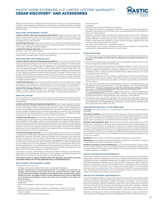## MASTIC HOME EXTERIORS V.I.P. LIMITED LIFETIME WARRANTY CEDAR DISCOVERY® AND ACCESSORIES



Mastic Cedar Discovery® Siding and Accessories (the "Products") are manufactured by Mastic Home Exteriors by Ply Gem in accordance with high standards and tight quality controls. The Products will not rust or corrode because they are made of rigid polypropylene.

#### **WHAT DOES THIS WARRANTY COVER?**

**Limited Lifetime Warranty Manufacturing Defects.** Mastic warrants to you, the owner of the property at the time the Products were installed, that the Products are free from defects in material and workmanship in the course of manufacture if installed according to our specifications.

**Limited Fade Warranty.** Mastic also warrants to you that for a limited period specified below, the Products will not excessively fade. "Excessive Fading" is more fully set forth in the Fade Coverage Schedule supplied.

**Limited Hail Damage Warranty.** Mastic also provides you with a limited hail damage warranty, more fully outlined below.

This Warranty is limited to the terms and conditions, exclusions and limitations, requirements and legal rights stated in this Warranty.

#### **HOW LONG DOES THE COVERAGE LAST?**

**Limited Lifetime Warranty Manufacturing Defects.** If you are an individual, this Limited Lifetime Warranty lasts for the life of the property on which the Products were originally applied ("Property") for as long as you own the Property. If you are not an individual (e.g., you are a corporation, condominium, cooperative housing arrangement, unincorporated association, school, church, government or public entity, etc.), the warranty period will be 50 years from the date of original installation of the Products on the Property, prorated as outlined in the Warranty Coverage Schedule below. This Limited Lifetime Warranty may be transferred with the Property. However, upon the transfer, the warranty period will be no more than 50 years from the date of original installation of the Products on the Property, prorated in accordance with the Warranty Coverage Schedule below.

**Limited Fade Warranty.** Mastic's excessive fade warranty is from the date of the original installation of the Products on the Property, even if the warranty is transferred with the Property. See the Fade Coverage Schedule on the next page for further details.

**Limited Hail Damage Warranty.** Mastic's hail damage warranty will last as long as Mastic's Limited Lifetime Warranty lasts, and upon transfer with the Property, shall continue based upon the coverage terms for Mastic's Limited Lifetime Warranty.

#### **WHAT WILL WE DO?**

You must notify us in accordance with the notice requirements outlined below, and we must validate the complaint. Upon the notification and validation, we will undertake the following:

**Limited Lifetime Warranty Manufacturing Defects.** We will repair, replace or refund the purchase and installation price of the defective portion of our siding that blisters, checks, crazes, flakes, peels or weathers unevenly due to a defect in our manufacturing process. Our obligations under this Warranty will in no event exceed the purchase price of the originally installed Products found to be defective and the cost of the labor involved in the original installation of such defective Products. Any additional costs and expenses beyond these amounts are your sole responsibility.

**Limited Fade Warranty.** We will repair, replace or refund the initial purchase and installation price of any portion of our siding that experiences excessive color fade after the installation of the siding, subject to our examination of a siding sample and you performing at least annually as preventative maintenance the cleaning. Our obligations under this Warranty will in no event exceed the purchase price of the originally installed Products found to be defective and the cost of the labor involved in the original installation of such defective Products. Any additional costs and expenses beyond these amounts are your sole responsibility.

**Limited Hail Damage Warranty.** It is your responsibility to pursue the cost of repair or replacement of damaged material through your homeowner's insurance or all other applicable insurance coverage. After you exhaust such coverage, if you have any Product cost that you have incurred in the purchase of the Product that is necessary to replace the Product on your Property which was damaged by hail, and these costs are in excess of your total insurance coverage (excluding your insurance deductible), we will reimburse you for that difference, up to the cost of replacement Product for the damaged Product. Any additional costs and expense beyond these amounts are your responsibility. We will have no responsibility for any costs associated with the labor required to remove, replace or install any Product.

In the event of repair, replacement or refinishing under this Warranty, the Warranty applicable to the replacement material or to the repaired or refinished Products will extend only for the time remaining under the original Warranty.

**If we elect to repair or replace Product under this warranty, we will also cover the reasonable labor costs for the applicable area, as determined by us.**

#### **WHAT DOESN'T THIS WARRANTY COVER?**

This Warranty does not cover:

- damage of any kind resulting from faulty or improper installation;
- normal weathering is the damaging effects of sunlight and extremes of weather and atmosphere that may cause any colored surface to fade, chalk or become soiled or stained. Exposure to the elements will cause gradual, uniform change over time. The degree to which normal weathering occurs will vary depending on air quality, the building's location and other local conditions over which we have no control.
- accidental damage;
- settlement;
- structural shrinkage or distortion of the property structure;
- fire;
- lightning, hurricane, tornado, windstorm, earthquake, or other acts of God;
- harmful chemicals (including harmful cleaning compounds and pesticides); • fumes or vapors;
- surface deterioration due to air pollution;
- misuse or abuse;
- vandalism;
- airborne stains, mold and mildew accumulation;
- your failure (or the failure of subsequent Property owners) to provide reasonable and necessary maintenance of the Products (see "Care and Maintenance Instructions"); • impact of foreign objects;
- warping or distortion due to exposure to excessive heat sources (e.g., barbecue grills) or exposure to unusual or excessive reflective heat sources (e.g., skylight or
- window reflection, roofing materials, pools, decks, blacktop, or concrete materials); • Products that have been painted or whose surface has been altered in any way
- without written authorization from Mastic; • any other causes beyond our reasonable control; or
- 
- uneven fading, color change or "striping" of siding due to installation over dissimilar, inconsistent or inadequate sheathing or backer board.

#### **OTHER LIMITATIONS**

- 1. This Warranty covers only genuine Mastic Cedar Discovery Siding and Accessories. It is your responsibility to verify that the siding and accessories installed are our Products.
- 2. Due to normal weathering, replacement Products may differ in gloss and color from Products originally installed on the Property.
- 3. We reserve the right to discontinue or change any design or color of any of our products at any time and without notice or liability. If, for any reason, Products of the type originally installed are no longer available from us at the time you make a warranty claim, we may substitute another product determined by us to be of comparable quality and price.
- 4. There are no warranties on these Products other than as set forth in this Warranty. We are not liable to you for a breach of any other written or oral express warranties. such as those, if any, given to you by dealers, contractors, applicators, or distributors of the Products.
- 5. WE EXCLUDE AND ARE NOT RESPONSIBLE FOR ANY CONSEQUENTIAL OR INCIDENTAL DAMAGES ARISING OUT OF ANY BREACH OF THIS EXPRESSED WARRANTY, OR ANY OTHER ORAL, WRITTEN OR IMPLIED WARRANTY THAT MAY APPLY TO YOUR PURCHASE, AS IT RELATES TO OUR PRODUCTS THIS IS YOUR EXCLUSIVE WARRANTY AND IS IN LIEU OF ALL OTHER WARRANTIES, EXPRESS OR IMPLIED, INCLUDING BUT NOT LIMITED TO IMPLIED WARRANTIES
- OF MERCHANTABILITY AND FITNESS FOR A PARTICULAR PURPOSE. 6. This Warranty gives you specific legal rights. You may also have other rights which vary from state to state. SOME STATES DO NOT ALLOW THE EXCLUSION OR LIMITATION OF INCIDENTAL OR CONSEQUENTIAL DAMAGES, SO THE ABOVE LIMITATION OR EXCLUSION MAY NOT APPLY TO YOU.

#### **THESE DEFINITIONS APPLY TO THE TERMS USED:**

**Coverage** means the extent of our commitment to respond to any claim relating to the siding.

**First-time Transferee** means the first individual, person or entity to which any interest of the initial purchaser in the building on which the siding is initially installed or in the siding itself is voluntarily or involuntarily conveyed, transferred or assigned, whether by gift, sale or operation of law, after the initial installation of the siding.

**Purchase and Installation Price** means the sum of (a) the total original cost of the siding that is defective or otherwise being replaced, plus (b) the total original cost of labor for the installation of siding that is defective or otherwise being replaced. If we cannot determine these amounts from original documents, we will compute the purchase and installation price using (i) our suggested retail price in effect at the time of the installation for the cost of material, (ii) labor rates prevailing in the area where the building is located at the time of installation and (iii) an estimated installation time for the cost of labor.

**Residence** means regular or full-time permanent lodging by a single family.

**Weathering** means changes caused by exposure to sunlight, rain, air pollution, variations in temperature and other atmospheric conditions.

**Weathers Unevenly or Uneven Weathering,** such as checker boarding, means uneven or non-uniform change in color of contiguous elements of siding under uniform, even and equal exposure to sunlight, natural radiation, rain, natural variations in temperature or other atmospheric conditions.

#### **HOW DO YOU REGISTER YOUR WARRANTY?**

For all Mastic materials used on this installation project, one Application for Warranty Registration must be completed at mastic.com or mailed within 30 days after original installation has been completed. Please mail it to Mastic Home Exteriors by Ply Gem, Warranty Registration Department, P.O. Box 110100, Pittsburg, PA 15232. Failure to register the Warranty will not void the Warranty, but registration of this Warranty confirms the date of purchase of our Products and assists Mastic in processing any Warranty claim you might have. This confirmation is of benefit to you, especially if your original proof of purchase is lost. It is a good idea to retain your proof of purchase incase it is needed if you submit a warranty claim.

#### **HOW DO YOU TRANSFER YOUR WARRANTY?**

You and subsequent Property owners may transfer this Warranty by providing written notice to us within 30 days after the date of transfer of ownership. The notice should include the warranty registration number (if available), the address of the Property, the name and mailing address (if different) of the new owners and the date of transfer. The notice should be sent to Mastic Home Exteriors by Ply Gem, Warranty Transfer Department, P.O. Box 110100, Pittsburg, PA 15232. Failure to notify Mastic will not void the Warranty, but the notice will assist Mastic in processing any warranty claim. Warranty coverage upon transfer is as described in detail above. Upon any transfer of the property, your obligations become the obligations of the new Property owners.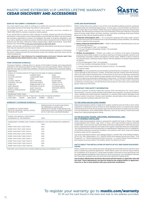## MASTIC HOME EXTERIORS V.I.P. LIMITED LIFETIME WARRANTY CEDAR DISCOVERY AND ACCESSORIES



#### **HOW DO YOU SUBMIT A WARRANTY CLAIM?**

You must submit your claim in writing to us within the warranty period and within a reasonable period of time after the defect is discovered.

To initiate a claim, you should contact our warranty services number at 1-800-962-3563 to receive a warranty claims packet.

If you would like to submit a claim request in writing, please provide the following information: a description of the claimed defect and the date the defect was discovered; the warranty registration number (if available); the date of original installation; and your name, address and phone number. Written claims should be sent to Mastic Home Exteriors by Ply Gem, Warranty Claims Department, 2600 Grand Blvd., Suite 900, Kansas City, MO 64108 or fax your information to 816-426-8210.

Mastic will provide notification of any additional information and physical evidence that may be required to process your claim.

When a sample is required, it must be sent at the homeowner's expense. In the event the claim is approved and the homeowner wants the sample returned, there will be a \$25 handling fee.

ANY REPAIR OF THE PRODUCTS UNDERTAKEN WITHOUT PRIOR WRITTEN AUTHORIZATION FROM MASTIC WILL VOID THIS WARRANTY.

#### **FADE COVERAGE SCHEDULE**

"Excessive Fading" is fading that is in excess of the Delta E Hunter unit measurement indicated in the following table for the Product you have purchased. Mastic reserves to itself the sole right to determine whether a Product has suffered from excessive fading.

| Solid Colors                                                                  |                                                                              |                         |  |
|-------------------------------------------------------------------------------|------------------------------------------------------------------------------|-------------------------|--|
| Delta E of 4 Hunter Units for 10 Years from the date of original installation |                                                                              |                         |  |
| <b>ALMOND</b>                                                                 | <b>HARBOR GREY</b>                                                           | SAGE                    |  |
| AUTUMN HARVEST                                                                | <b>LAKESHORE FERN</b>                                                        | SANDTONE                |  |
| CAMEO                                                                         | LINEN                                                                        | <b>SCOTTISH THISTLE</b> |  |
| CLASSIC CREAM                                                                 | MISTY SHADOW                                                                 | SILVER GREY             |  |
| COLONIAL YELLOW                                                               | MONTANA SUEDE                                                                | TERRA COTTA             |  |
| CORN SILK                                                                     | PEBBLESTONE CLAY                                                             | <b>TUSCAN OLIVE</b>     |  |
| DEEP GRANITE                                                                  | PORTSMOUTH BLUE                                                              | <b>VICTORIAN GREY</b>   |  |
| DESERT SAND                                                                   | QUIET WILLOW                                                                 | VINEYARD GROVE          |  |
| <b>ENGLISH WEDGEWOOD</b>                                                      | RUGGED CANYON                                                                | <b>WHITE</b>            |  |
| <b>EVEREST</b>                                                                | <b>RUSSET RED</b>                                                            | <b>WICKER</b>           |  |
| <b>Weathered Cedar Colors</b>                                                 |                                                                              |                         |  |
|                                                                               | Delta E of 7 Hunter Units for 7 Years from the date of original installation |                         |  |
| CAPE GREY<br><b>CEDAR</b>                                                     | RED CEDAR<br>TIMBER                                                          | <b>WALNUT</b>           |  |

#### **WARRANTY COVERAGE SCHEDULE**

| NUMBER OF YEARS FROM<br>DATE OF ORIGINAL INSTALL ATION<br>TO DATE OF CLAIM | PERCENTAGE OF PURCHASE PRICE<br>OF ORIGINALLY INSTALLED<br>PRODUCTS FOUND TO BE DEFECTIVE<br>FOR WHICH MASTIC HOME EXTERIORS<br>BY PLY GEM WILL BE RESPONSIBLE |
|----------------------------------------------------------------------------|----------------------------------------------------------------------------------------------------------------------------------------------------------------|
| DURING THE ORIGINAL PURCHASER'S<br>OWNERSHIP OF THE PROPERTY:              | 100%                                                                                                                                                           |
| SUBSEQUENT OWNERS AND OTHERS COVERED BY A 50-YEAR PRORATED WARRANTY:       |                                                                                                                                                                |
| $0 - 5$                                                                    | 100%                                                                                                                                                           |
| MORE THAN 5 BUT LESS THAN 7                                                | 90%                                                                                                                                                            |
| MORE THAN 7 BUT LESS THAN 8                                                | 80%                                                                                                                                                            |
| MORE THAN 8 BUT LESS THAN 9                                                | 70%                                                                                                                                                            |
| MORE THAN 9 BUT LESS THAN 10                                               | 60%                                                                                                                                                            |
| MORE THAN 10 BUT LESS THAN 11                                              | 50%                                                                                                                                                            |
| MORE THAN 11 BUT LESS THAN 12                                              | 40%                                                                                                                                                            |
| MORE THAN 12 BUT LESS THAN 13                                              | 30%                                                                                                                                                            |
| MORE THAN 13 BUT LESS THAN 14                                              | 20%                                                                                                                                                            |
| MORE THAN 14 BUT LESS THAN 50                                              | 10%                                                                                                                                                            |

Total claim cost of refund not to exceed original purchase and installation price.

#### **CARE AND MAINTENANCE**

Mastic Cedar Discovery siding is one of the most durable building products materials available today for residential applications. In most cases, normal rainfall is sufficient to keep it clean. But if your Mastic Cedar Discovery Siding and Accessories should need cleaning, the following procedures are recommended. Particular attention should be given to areas under eaves, porches, awnings, and other overhangs that have limited exposure to the natural washing effect of rainfall.

- 1. **Moderate Atmospheric Dirt** An occasional washing with clear water using a garden hose and soft-bristled brush is recommended (a long-handled, car-washing brush is ideal for this purpose).
- 2. **Heavy Industrial Atmospheric Dirt**  Wash in the manner indicated above, but use the following solution:
	- a. 1/3 cup detergent (Tide®, for example)
	- b. 2/3 cup trisodium phosphate (Soilax®, for example)
- c. 1 gallon water
- 3. **Mildew Accumulation** Mildew can collect on surfaces of all types of building products and is often evident on surfaces that have not been properly cared for and maintained. Normally, mildew will appear as black spots. Mildew is easy to remove by using the basic cleaning solution above with the addition of sodium hypochlorite as follows:
	- a. 1/3 cup detergent (Tide®, for example)
	- b. 2/3 cup trisodium phosphate (Soilax®, for example)
	- c. 1 quart sodium hypochlorite 5% solution (Clorox®, for example)
	- d. 3 quarts water

**CAUTION:** Do not exceed the recommended concentrations of cleaners. To do so can cause damage to the products' surface. Avoid skin and eye contact with the solution, and in all cases follow manufacturer's instructions for the use of cleaning compounds and solutions. Avoid use of abrasive-type cleaners and strong solvents. Test any cleaner on an inconspicuous area before applying to major areas. To minimize streaking, always clean from the bottom to the top and follow with a rinsing of clear water. Excessive scrubbing is unnecessary, can be harmful to the products, and may cause undesirable glossy areas over the finish.

#### **IMPORTANT: FIRE SAFETY INFORMATION**

Exterior polymer building materials require little maintenance for many years. Nevertheless, common sense dictates that builders and suppliers of polymer products store, handle and install polymer materials in a manner that avoids damage to the product and/or structure. Owners and Installers should take a few simple steps to protect polymer building materials from fire.

#### **TO THE HOME AND BUILDING OWNER**

Rigid polypropylene siding is made from organic material and will melt or burn when exposed to a significant source of flame or heat. Building owners, occupants and outside maintenance personnel should always take normal precautions to keep sources of fire, such as barbecues, and combustible materials, such as dry leaves, mulch and trash away from rigid polypropylene siding.

#### **TO THE BUILDING TRADES, SPECIFIERS, PROFESSIONAL AND DO-IT-YOURSELF INSTALLERS**

When rigid polypropylene siding is exposed to significant heat or flame, the rigid polypropylene will soften, sag, melt, or burn, and may thereby expose material underneath. Care must be exercised when selecting underlayment materials because many underlayment materials are made from organic materials that are combustible. You should ascertain the fire properties of underlayment materials prior to installation. All building materials should be installed in accordance with local, state and federal building code and fire regulations.

For more information about vinyl siding products, contact the Vinyl Siding Institute, 1275 K St. NW, Washington, D.C. 20005-4006 and request brochures titled, "Fire Properties" or "What Homeowners Want to Know," or contact Mastic Home Exteriors and request brochure titled "Fire Safety, What You Need to Know."

#### **FACTS ABOUT THE INSTALLATION OF MASTIC BY PLY GEM CEDAR DISCOVERY SIDING**

Mastic Cedar Discovery Siding has been designed and manufactured to perform best when installed by qualified applicators. While Mastic does not assume responsibility for installation of its products, it does keep installers informed on new techniques and provides detailed installation instructions on all of its products. Our installation manuals are frequently updated with new and improved methods of application.

**Any product adjustments should be discussed with the dealer or applicator who did the work. These adjustments can best be made by the original dealer or applicator, since he or she is most familiar with your particular installation.**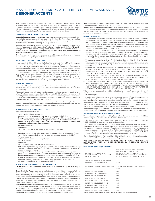## MASTIC HOME EXTERIORS V.I.P. LIMITED LIFETIME WARRANTY DESIGNER ACCENTS



Mastic Home Exteriors by Ply Gem manufactures Louvered / Raised Panel / Board & Batten Shutters, Gable Vents, Fixture Mounts, Mantels and Door Surrounds (the "Products") in accordance with high standards and tight quality controls. The Products will not rust or corrode because they are made of special resins. The Products will be free from manufacturing defects which result in cracking or splitting.

#### **WHAT DOES THIS WARRANTY COVER?**

**Limited Lifetime Warranty Manufacturing Defects.** Mastic Home Exteriors by Ply Gem warrants to you, the owner of the property at the time the Products were installed, that the Products are free from defects in material and workmanship in the course of manufacture if installed according to our specifications.

**Limited Fade Warranty.** Mastic Home Exteriors by Ply Gem also warrants to you that for a limited period specified below, the Products will not excessively fade. "Excessive Fading" is more than 'normal fading' (see below) which is in excess of a Delta E of 7 Hunter units for a period of 7 years following the installation date, as determined by Mastic Home Exteriors by Ply Gem.

This Warranty is limited to the terms and conditions, exclusions and limitations, requirements and legal rights stated in this Warranty.

#### **HOW LONG DOES THE COVERAGE LAST?**

If you are an individual, this Limited Lifetime Warranty lasts for the life of the property on which the Products were originally applied ("Property") for as long as you own the Property. If you are not an individual (e.g., you are a corporation, condominium, cooperative housing arrangement, unincorporated association, school, church, government or public entity, etc.), the warranty period will be 50 years from the date of original installation of the Products on the Property, prorated as outlined in the Warranty Coverage Schedule below. This Limited Lifetime Warranty may be transferred with the Property. However, upon the transfer, the warranty period will be no more than 50 years from the date of original installation of the Products on the Property, prorated in accordance with the Warranty Coverage Schedule below.

#### **WHAT WILL WE DO?**

You must notify us in accordance with the notice requirements outlined below, and we must validate the complaint. Upon the notification and validation, we will undertake the following:

At our sole option, we will either repair, replace, refinish or refund to you the value of the Products found to be defective (or prorated if this Warranty is transferred). Our obligations under this Warranty will in no event exceed the purchase price of the originally installed Products found to be defective. Any additional costs and expenses beyond these amounts are your responsibility.

In the event of repair, replacement or refinishing under this Warranty, the Warranty applicable to the replacement material or to the repaired or refinished Products will extend only for the time remaining under the original Warranty.

#### **WHAT DOESN'T THIS WARRANTY COVER?**

This Warranty does not cover:

- excludes labor charges incurred;
- damage of any kind resulting from faulty or improper installation;
- Changes in surface color resulting from chalking, fading, soiling or staining. Exposure to the elements may cause these changes over time; the degree to which weathering occurs will vary depending on air quality, the building's location and other local conditions over which we have no control;
- accidental damage; • settlement;
- structural shrinkage or distortion of the property structure;
- fire;
- lightning, hurricane, tornado, windstorm, earthquake, hail, or other acts of God;
- harmful chemicals (including harmful cleaning compounds and pesticides);
- fumes or vapors;
- surface deterioration due to air pollution; • misuse or abuse;
- vandalism;
- 
- airborne stains, mold and mildew accumulation; your failure (or the failure of subsequent Property owners) to provide reasonable and necessary maintenance of the Products (see "Care and Maintenance Instructions"); • impact of foreign objects;
- warping or distortion due to exposure to excessive heat sources (e.g., barbecue grills) or exposure to unusual or excessive reflective heat sources (e.g., skylight or window reflection, roofing materials, pools, decks, blacktop, or concrete materials);
- Products that have been painted or whose surface has been altered in any way without written authorization from Mastic Home Exteriors by Ply Gem; or
- any other causes beyond our reasonable control.

#### **THESE DEFINITIONS APPLY TO THE TERMS USED:**

**Coverage** means the extent of our commitment to respond to any claim relating to the siding.

**Excessive Color Fade** means a change in the color of any siding in excess of a Delta E of seven Hunter units in the first seven years, as determined by us, following the initial installation provided that any uneven or abnormal fade distribution is not due to a buildup or accumulation of stains, dirt, mold, mildew, or any other deficiency caused by the lack of at least an annual preventative maintenance by the homeowner as such annual preventative maintenance is described in the Mastic Home Exteriors by Ply Gem Installation Manual.

**First-time Transferee** means the first individual, person or entity to which any interest of the initial purchaser in the building on which the siding is initially installed or in the siding itself is voluntarily or involuntarily conveyed, transferred or assigned, whether by gift, sale or operation of law, after the initial installation of the siding.

**Residence** means regular or full-time permanent lodging by a single family.

**Weathering** means changes caused by exposure to sunlight, rain, air pollution, variations in temperature and other atmospheric conditions.

**Weathers Unevenly or Uneven Weathering,** such as checker boarding, means uneven or non-uniform change in color of contiguous elements of siding under uniform, even and equal exposure to sunlight, natural radiation, rain, natural variations in temperature or other atmospheric conditions.

#### **OTHER LIMITATIONS**

- 1. This Warranty covers only genuine Mastic Home Exteriors by Ply Gem Louvered / Raised Panel Shutters, Gable Vents, Fixture Mounts, Mantels and Door Surrounds. It is your responsibility to verify that the installed are our Products. It is a good idea to retain your proof of purchase incase it is needed if you submit a warranty claim.
- 2. Due to normal weathering, replacement Products may differ in gloss and color from Products originally installed on the Property.
- 3. We reserve the right to discontinue or change any design or color of any of our products at any time and without notice or liability. If, for any reason, Products of the type originally installed are no longer available from us at the time you make a warranty claim, we may substitute another product determined by us to be of comparable quality and price.
- 4. There are no warranties on these Products other than as set forth in this Warranty. We are not liable to you for a breach of any other written or oral express warranties, such as those, if any, given to you by dealers, contractors, applicators, or distributors of the Products.
- 5. WE EXCLUDE AND ARE NOT RESPONSIBLE FOR ANY CONSEQUENTIAL OR INCIDENTAL DAMAGES ARISING OUT OF ANY BREACH OF THIS EXPRESSED WARRANTY, OR ANY OTHER ORAL, WRITTEN OR IMPLIED WARRANTY THAT MAY APPLY TO YOUR PURCHASE, AS IT RELATES TO OUR PRODUCTS.

THIS IS YOUR EXCLUSIVE WARRANTY AND IS IN LIEU OF ALL OTHER WARRANTIES, EXPRESS OR IMPLIED, INCLUDING BUT NOT LIMITED TO IMPLIED WARRANTIES OF MERCHANTABILITY AND FITNESS FOR A PARTICULAR PURPOSE.

6. This Warranty gives you specific legal rights. You may also have other rights which vary from state to state. SOME STATES DO NOT ALLOW THE EXCLUSION OR LIMITATION OF INCIDENTAL OR CONSEQUENTIAL DAMAGES, AND SOME STATES DO NOT ALLOW LIMITATIONS ON HOW LONG AN IMPLIED WARRANTY LASTS, SO THE ABOVE LIMITATION OR EXCLUSION MAY NOT APPLY TO YOU.

When a sample is required, it must be sent at the homeowner's expense. In the event the claim is approved and the homeowner wants the sample returned, there will be a \$25 handling fee.

The notice should include the warranty registration number (if available), the address of the Property, the name and mailing address (if different) of the new owners and the date of transfer. The notice should be sent to Mastic Home Exteriors by Ply Gem, Warranty Transfer Department, P.O. Box 110100, Pittsburg, PA 15232. Failure to notify Mastic Home Exteriors by Ply Gem will not void the Warranty, but the notice will assist Mastic Home Exteriors by Ply Gem in processing any warranty claim.

Warranty coverage upon transfer is as described in detail above. Upon any transfer of the property, your obligations become the obligations of the new Property owners.

#### **HOW DO YOU SUBMIT A WARRANTY CLAIM?**

You must submit your claim in writing to us within the warranty period and within a reasonable period of time after the defect is discovered.

To initiate a claim, you should contact our warranty services number at 1-800-962-3563 to receive a warranty claims packet.

If you would like to submit a claim request in writing, please provide the following information: a description of the claimed defect and the date the defect was discovered; the warranty registration number (if available); the date of original installation; and your name, address and phone number. Written claims should be sent to Mastic Home Exteriors by Ply Gem, Warranty Claims Department, 2600 Grand Blvd., Suite 900, Kansas City, Missouri 64108 or fax your information to 816-426-8210.

Mastic Home Exteriors by Ply Gem will provide notification of any additional information and physical evidence that may be required to process your claim.

ANY REPAIR OF THE PRODUCTS UNDERTAKEN WITHOUT PRIOR WRITTEN AUTHORIZATION FROM MASTIC HOME EXTERIORS BY PLY GEM WILL VOID THIS WARRANTY.

#### **WARRANTY COVERAGE SCHEDULE**

|                                                               | NUMBER OF YEARS FROM<br>DATE OF ORIGINAL INSTALLATION<br>TO DATE OF CLAIM | PERCENTAGE OF PURCHASE PRICE<br>OF ORIGINALLY INSTALLED<br>PRODUCTS FOUND TO BE DEFECTIVE<br>FOR WHICH MASTIC HOME EXTERIORS<br>BY PLY GEM WILL BE RESPONSIBLE |
|---------------------------------------------------------------|---------------------------------------------------------------------------|----------------------------------------------------------------------------------------------------------------------------------------------------------------|
| DURING THE ORIGINAL PURCHASER'S<br>OWNERSHIP OF THE PROPERTY: |                                                                           | 100%                                                                                                                                                           |
|                                                               |                                                                           | SUBSEQUENT OWNERS AND OTHERS COVERED BY A 50-YEAR PRORATED WARRANTY:                                                                                           |
|                                                               | $O - 5$                                                                   | 100%                                                                                                                                                           |
|                                                               | MORE THAN 5 BUT LESS THAN 7                                               | 90%                                                                                                                                                            |
|                                                               | MORE THAN 7 BUT LESS THAN 8                                               | 80%                                                                                                                                                            |
|                                                               | MORE THAN 8 BUT LESS THAN 9                                               | 70%                                                                                                                                                            |
|                                                               | MORE THAN 9 BUT LESS THAN 10                                              | 60%                                                                                                                                                            |
|                                                               | MORE THAN 10 BUT LESS THAN 11                                             | 50%                                                                                                                                                            |
|                                                               | MORE THAN 11 BUT LESS THAN 12                                             | 40%                                                                                                                                                            |
|                                                               | MORE THAN 12 BUT LESS THAN 13                                             | 30%                                                                                                                                                            |
|                                                               | MORE THAN 13 BUT LESS THAN 14                                             | 20%                                                                                                                                                            |
|                                                               | MORE THAN 14 BUT LESS THAN 50                                             | 10%                                                                                                                                                            |

Total claim cost of refund not to exceed original purchase and installation price.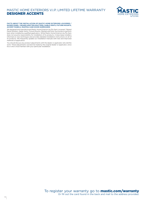## MASTIC HOME EXTERIORS V.I.P. LIMITED LIFETIME WARRANTY DESIGNER ACCENTS



#### **FACTS ABOUT THE INSTALLATION OF MASTIC HOME EXTERIORS LOUVERED / RAISED PANEL / BOARD & BATTEN SHUTTERS, GABLE VENTS, FIXTURE MOUNTS, ACCENT PANELS, MANTELS AND DOOR SURROUNDS**

We designed and manufactured Mastic Home Exteriors by Ply Gem Louvered / Raised Panel Shutters, Gable Vents, Fixture Mounts, Mantels and Door Surrounds to perform best when installed by qualified applicators. While Mastic Home Exteriors by Ply Gem does not assume responsibility for installation of its products, it does keep installers informed on new techniques and provides detailed installation instructions on all of its products. We frequently update our installation manuals with new and improved methods of application.

You should discuss any product adjustments with the dealer or applicator who did the work. These adjustments can best be made by the original dealer or applicator, since he or she is most familiar with your particular installation.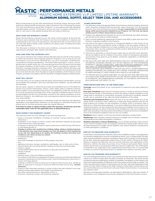TIC PERFORMANCE METALS® EXTERIORS | MASTIC HOME EXTERIORS V.I.P. LIMITED LIFETIME WARRANTY ALUMINUM SIDING, SOFFIT, SELECT TRIM COIL AND ACCESSORIES

Mastic Home Exteriors by Ply Gem manufactures Aluminum Siding, Aluminum Soffit, Aluminum Siding & Soffit Accessories, select Aluminum Trim Coil (except Economy Trim Coil) and Aluminum Fascia (the "Products"), in accordance with high standards and tight quality controls. The Products will not rust, burn or support combustion, or split or crack due to cold weather because they are made of aluminum.

#### **WHAT DOES THIS WARRANTY COVER?**

Mastic Home Exteriors warrants to you, the owner of the property at the time the Products were installed, that the Products are free from defects in material and workmanship in the course of manufacture, and that the finish on the Products will not chip, peel, flake or blister under conditions of ordinary wear, if installed according to our specifications.

This Warranty is limited to the terms and conditions, exclusions and limitations, requirements and legal rights stated in this Warranty.

#### **HOW LONG DOES THE COVERAGE LAST?**

If you are an individual, this Limited Lifetime Warranty lasts for the life of the property on which the Products were originally applied ("Property") for as long as you own the Property. If you are not an individual (e.g., you are a corporation, condominium, cooperative housing arrangement, unincorporated association, school, church, government or public entity, etc.), the warranty period will be 50 years from the date of original installation of the Products on the Property, prorated as outlined in the Warranty Coverage Schedule contained within. This Limited Lifetime Warranty may be transferred with the Property. However, upon the transfer, the warranty period will be no more than 50 years from the date of original installation of the Products on the Property, prorated in accordance with the Warranty Coverage Schedule contained within.

#### **WHAT WILL WE DO?**

You must notify us in accordance with the notice requirements outlined below, and we must validate the complaint. Upon the notification and validation, we will undertake the following:

We will repair, replace or refund the purchase and installation price of the defective portion of our product that blisters, checks, crazes, flakes, peels or weathers unevenly due to a defect in our manufacturing process. Our obligations under this warranty will in no event exceed the purchase price of the originally installed Products found to be warrantable and the cost of the labor involved in the original installation of such defective Products. Any additional costs and expenses beyond these amounts are your responsibility.

In the event of repair, replacement or refinishing under this Warranty, the Warranty applicable to the replacement material or to the repaired or refinished Products will extend only for the time remaining under the original Warranty.

**If we elect to repair or replace Product under this warranty, we will also cover the reasonable labor costs for the applicable area, as determined by us.**

#### **WHAT DOESN'T THIS WARRANTY COVER?**

This Warranty does not cover damage of any kind resulting from:

- Faulty or improper installation, including "oil canning" waving, buckling, or other distortions;
- Installation of our Product in direct contact with dissimilar materials as discussed in the final section of this warranty;
- Cracking or crazing of the Product's paint surface due to field forming of Products in cold temperatures; or
- Changes in surface color resulting from chalking, fading, soiling or staining. Exposure to the elements may cause these changes over time; the degree to which weathering occurs will vary depending on air quality, the building's location and other local conditions over which we have no control;
- accidental damage;
- settlement;
- structural shrinkage or distortion of the property structure;
- fire;
- lightning, hurricane, tornado, windstorm, earthquake, hail, or other acts of God;
- harmful chemicals (including harmful cleaning compounds and pesticides);
- fumes or vapors;
- surface deterioration due to air pollution or seacoast environment; • misuse or abuse;
- vandalism;
- airborne stains, mold and mildew accumulation;
- your failure (or the failure of subsequent Property owners) to provide reasonable and necessary maintenance of the Products (see "Care and Maintenance Instructions"); • impact of foreign objects;
- warping or distortion due to exposure to excessive heat sources (e.g., barbecue grills) or exposure to unusual or excessive reflective heat sources (e.g., window reflection);
- Products that have been painted or whose surface has been altered in any way without written authorization from Mastic Home Exteriors;
- any other causes beyond our reasonable control; or
- Corrosion caused by contact with dissimilar materials.

#### **OTHER LIMITATIONS**

- 1. This Warranty covers only genuine Mastic Home Exteriors Aluminum Siding, Aluminum Soffit, Aluminum Siding & Soffit Accessories, select Aluminum Trim Coil (except Economy Trim Coil) and Aluminum Fascia. It is your responsibility to verify that the siding, soffit and accessories installed are our Products. For Trim Coil, we require written proof it is Mastic Home Exteriors product.
- 2. Products are designed and intended for use as small flashings and water diverters, and should not be used as roofing material.
- 3. Due to normal weathering, replacement Products may differ in gloss and color from Products originally installed on the Property.
- 4. We reserve the right to discontinue or change any design or color of any of our products at any time and without notice or liability. If, for any reason, Products of the type originally installed are no longer available from us at the time you make a warranty claim, we may substitute another product determined by us to be of comparable quality and price.
- 5. There are no warranties on these Products other than as set forth in this Warranty. We are not liable to you for a breach of any other written or oral express warranties, such as those, if any, given to you by dealers, contractors, applicators, or distributors of the Products.
- 6. WE EXCLUDE AND ARE NOT RESPONSIBLE FOR ANY CONSEQUENTIAL OR INCIDENTAL DAMAGES ARISING OUT OF ANY BREACH OF THIS EXPRESSED WARRANTY, OR ANY OTHER ORAL, WRITTEN OR IMPLIED WARRANTY THAT MAY APPLY TO YOUR PURCHASE, AS IT RELATES TO OUR PRODUCTS.
- THIS IS YOUR EXCLUSIVE WARRANTY AND IS IN LIEU OF ALL OTHER WARRANTIES, EXPRESS OR IMPLIED, INCLUDING BUT NOT LIMITED TO IMPLIED WARRANTIES OF MERCHANTABILITY AND FITNESS FOR A PARTICULAR PURPOSE.
- 7. This Warranty gives you specific legal rights. You may also have other rights which vary from state to state. SOME STATES DO NOT ALLOW THE EXCLUSION OR LIMITATION OF INCIDENTAL OR CONSEQUENTIAL DAMAGES, SO THE ABOVE LIMITATION OR EXCLUSION MAY NOT APPLY TO YOU.

#### **THESE DEFINITIONS APPLY TO THE TERMS USED:**

**Coverage** means the extent of our commitment to respond to any claim relating to the siding.

**First-time Transferee** means the first individual, person or entity to which any interest of the initial purchaser in the building on which the siding is initially installed or in the siding itself is voluntarily or involuntarily conveyed, transferred or assigned, whether by gift, sale or operation of law, after the initial installation of the siding.

**Purchase and Installation Price** means the sum of (a) the total original cost of the siding, soffit or accessory that is defective or otherwise being replaced, plus (b) the total original cost of labor for the installation of siding, soffit or accessory that is defective or otherwise being replaced. If we cannot determine these amounts from original documents, we will compute the purchase and installation price using (i) our suggested retail price in effect at the time of the installation for the cost of material, (ii) labor rates prevailing in the area where the building is located at the time of installation and (iii) an estimated installation time for the cost of labor.

**Residence** means regular or full-time permanent lodging by a single family.

**Weathering** means changes caused by exposure to sunlight, rain, air pollution, variations in temperature and other atmospheric conditions.

**Weathers Unevenly or Uneven Weathering,** such as checker boarding, means uneven or non-uniform change in color of contiguous elements of siding under uniform, even and equal exposure to sunlight, natural radiation, rain, natural variations in temperature or other atmospheric conditions.

#### **HOW DO YOU REGISTER YOUR WARRANTY?**

For all Mastic Home Exteriors materials used on this installation project, one Application for Warranty Registration must be completed at mastic.com or mailed within 30 days after original installation has been completed. Please mail it to Mastic Home Exteriors by Ply Gem, Warranty Registration Data Center, P.O. Box 110100, Pittsburg, PA 15232. Failure to register the Warranty will not void the Warranty, but registration of this Warranty confirms the date of purchase of our Products and assists Mastic Home Exteriors by Ply Gem in processing any Warranty claim you might have. This confirmation is of benefit to you, especially if your original proof of purchase is lost. It is a good idea to retain your proof of purchase incase it is needed if you submit a warranty claim.

#### **HOW DO YOU TRANSFER YOUR WARRANTY?**

You and subsequent Property owners may transfer this Warranty by providing written notice to us within 30 days after the date of transfer of ownership. The notice should include the warranty registration number (if available), the address of the Property, the name and mailing address (if different) of the new owners and the date of transfer. The notice should be sent to Mastic Home Exteriors by Ply Gem, Warranty Registration Data Center, P.O. Box 110100, Pittsburg, PA 15232. Failure to notify Mastic Home Exteriors will not void the Warranty, but the notice will assist Mastic Home Exteriors in processing any warranty claim.

Warranty coverage upon transfer is as described in detail above. Upon any transfer of the property, your obligations become the obligations of the new Property owners.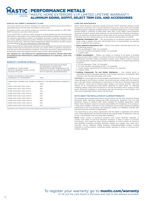## **IC | PERFORMANCE METALS®**

EXTERIORS I MASTIC HOME EXTERIORS V.I.P. LIMITED LIFETIME WARRANTY ALUMINUM SIDING, SOFFIT, SELECT TRIM COIL AND ACCESSORIES

#### **HOW DO YOU SUBMIT A WARRANTY CLAIM?**

by PLY GEM

You must submit your claim in writing to us within the warranty period and within a reasonable period of time after the defect is discovered.

To initiate a claim, you should contact our warranty services number at 1-800-962- 3563 to receive a warranty claims packet.

If you would like to submit a claim request in writing please provide the following information: a description of the claimed defect and the date the defect was discovered; the warranty registration number (if available); the date of original installation; and your name, address and phone number. Written claims should be sent to Mastic Home Exteriors by Ply Gem, Warranty Claims Department, 2600 Grand Blvd, Ste 900, Kansas City MO 64108 or fax your information to 816-426-8210.

Mastic Home Exteriors will provide notification of any additional information and physical evidence that may be required to process your claim. When a sample is required, it must be sent at the homeowner's expense. In the event the claim is approved and the homeowner wants the sample returned, there will be a \$25 handling fee.

ANY REPAIR OF THE PRODUCTS UNDERTAKEN WITHOUT PRIOR WRITTEN AUTHORIZATION FROM MASTIC HOME EXTERIORS BY PLY GEM WILL VOID THIS WARRANTY.

#### **WARRANTY COVERAGE SCHEDULE**

| NUMBER OF YEARS FROM<br>DATE OF ORIGINAL INSTALL ATION<br>TO DATE OF CLAIM | PERCENTAGE OF PURCHASE PRICE<br>OF ORIGINALLY INSTALLED<br>PRODUCTS FOUND TO BE DEFECTIVE<br>FOR WHICH MASTIC HOME EXTERIORS<br>BY PLY GEM WILL BE RESPONSIBLE |
|----------------------------------------------------------------------------|----------------------------------------------------------------------------------------------------------------------------------------------------------------|
| DURING THE ORIGINAL PURCHASER'S<br>OWNERSHIP OF THE PROPERTY:              | 100%                                                                                                                                                           |
|                                                                            | SUBSEQUENT OWNERS AND OTHERS COVERED BY A 50-YEAR PRORATED WARRANTY:                                                                                           |
| $O - 5$                                                                    | 100%                                                                                                                                                           |
| MORE THAN 5 BUT LESS THAN 7                                                | 90%                                                                                                                                                            |
| MORE THAN 7 BUT LESS THAN 8                                                | 80%                                                                                                                                                            |
| MORE THAN 8 BUT LESS THAN 9                                                | 70%                                                                                                                                                            |
| MORE THAN 9 BUT LESS THAN 10                                               | 60%                                                                                                                                                            |
| MORE THAN 10 BUT LESS THAN 11                                              | 50%                                                                                                                                                            |
| MORE THAN 11 BUT LESS THAN 12                                              | 40%                                                                                                                                                            |
| MORE THAN 12 BUT LESS THAN 13                                              | 30%                                                                                                                                                            |
| MORE THAN 13 BUT LESS THAN 14                                              | 20%                                                                                                                                                            |
| MORE THAN 14 BUT LESS THAN 50                                              | 10%                                                                                                                                                            |

Total claim cost of refund not to exceed original purchase and installation price.

#### **CARE AND MAINTENANCE**

Mastic Home Exteriors Aluminum Siding, Aluminum Soffit, Aluminum Siding & Soffit Accessories, Aluminum Trim Coil and Aluminum Fascia are some of the most durable building products materials available today for residential applications. In most cases, normal rainfall is sufficient to keep them clean. But if your Mastic Home Exteriors Aluminum Products should need cleaning, we recommend the following procedures. Particular attention should be given to areas under eaves, porches, awnings, and other overhangs that have limited exposure to the natural washing effect of rainfall.

- 1. **Moderate Atmospheric Dirt** We recommend an occasional washing with clear water using a garden hose and soft-bristled brush (a long-handled, car-washing brush is ideal for this purpose).
- 2. **Heavy Industrial Atmospheric Dirt** Wash in the manner indicated above, but use the following solution:
	- a. 1/3 cup detergent (Tide®, for example)
	- b. 2/3 cup trisodium phosphate (Soilax®, for example)
	- c. 1 gallon water
- 3. **Mildew Accumulation** Mildew can collect on surfaces of all types of building products and is often evident on surfaces that have not been properly cared for and maintained. Normally, mildew will appear as black spots. Mildew is easy to remove by using the basic cleaning solution above with the addition of sodium hypochlorite as follows:
	- a. 1/3 cup detergent (Tide®, for example)
	- b. 2/3 cup trisodium phosphate (Soilax®, for example)
	- c. 1 quart sodium hypochlorite 5% solution (Clorox®, for example)
	- d. 3 quarts water
- 4. **Caulking Compounds, Tar and Similar Substances** Use mineral spirits in reasonable amounts and apply directly to the foreign substance. Immediately after cleaning, rinse the area thoroughly with water.

CAUTION: Do not exceed the recommended concentrations of cleaners. To do so can cause damage to the Products' surface. Avoid skin and eye contact with the solution, and in all cases follow manufacturer's instructions for the use of cleaning compounds and solutions. Avoid use of abrasive-type cleaners and strong solvents. Test any cleaner on an inconspicuous area before applying to major areas. To minimize streaking, always clean from the bottom to the top and follow with a rinsing of clear water. Excessive scrubbing is unnecessary and can be harmful to the Products, and may cause undesirable glossy areas over the finish.

#### **FACTS ABOUT THE INSTALLATION OF ALUMINUM PRODUCTS**

We designed and manufactured Mastic Home Exteriors by Ply Gem Aluminum Siding, Aluminum Soffit, Aluminum Siding and Soffit Accessories, Aluminum Trim Coil, and Aluminum Fascia to perform best when installed by qualified applicators. While Mastic Home Exteriors does not assume responsibility for installation of its products, it does keep installers informed on new techniques and provides detailed installation instructions on all of its products. We frequently update our installation manuals with new and improved methods of application.

You should discuss any product adjustments with the dealer or applicator who did the work. These adjustments can best be made by the original dealer or applicator, since he or she is most familiar with your particular installation.

NOTE: Direct contact of aluminum products with certain dissimilar materials, or contact with water run-off from dissimilar materials, is likely to result in corrosion. Accordingly, care should be taken during installation to avoid contact of aluminum with dissimilar materials including dissimilar metals (e.g. copper, zinc, steel, etc.), concrete, stucco, asbestos siding, pressure treated/pretreated lumber, roofing materials or roofing systems containing metallic granules or strips, or corrosive nonmetallic materials.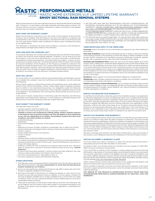TIC | PERFORMANCE METALS®

EXTERIORS | MASTIC HOME EXTERIORS V.I.P. LIMITED LIFETIME WARRANTY ENVOY SECTIONAL RAIN REMOVAL SYSTEMS

Mastic Home Exteriors by Ply Gem manufactures Envoy Sectional Rain Removal Systems (the "Products"), in accordance with high standards and tight quality controls. The Products will not rust, burn or support combustion, or split or crack due to cold weather because they are made of aluminum.

#### **WHAT DOES THIS WARRANTY COVER?**

Mastic Home Exteriors warrants to you, the owner of the property at the time the Products were installed, that the Products are free from defects in material and workmanship in the course of manufacture, and that the finish on the Products will not chip, peel, flake or blister under conditions of ordinary wear, if installed according to our specifications.

This Warranty is limited to the terms and conditions, exclusions and limitations, requirements and legal rights stated in this Warranty.

#### **HOW LONG DOES THE COVERAGE LAST?**

If you are an individual, this Limited Lifetime Warranty lasts for the life of the property on which the Products were originally applied ("Property") for as long as you own the Property. If you are not an individual (e.g., you are a corporation, condominium, cooperative housing arrangement, unincorporated association, school, church, government or public entity, etc.), the warranty period will be 50 years from the date of original installation of the Products on the Property, prorated as outlined in the Warranty Coverage Schedule below. This Limited Lifetime Warranty may be transferred with the Property. However, upon the transfer, the warranty period will be no more than 50 years from the date of original installation of the Products on the Property, prorated in accordance with the Warranty Coverage Schedule below.

#### **WHAT WILL WE DO?**

You must notify us in accordance with the notice requirements outlined below, and we must validate the complaint. Upon the notification and validation, we will undertake the following:

We will repair, replace or refund the purchase and installation price of the defective portion of our Product that blisters, checks, crazes, flakes, peels or weathers unevenly due to a defect in our manufacturing process. Our obligations under this Warranty will in no event exceed the purchase price of the originally installed Products found to be defective. Any additional costs and expenses beyond these amounts are your responsibility.

In the event of repair, replacement or refinishing under this Warranty, the Warranty applicable to the replacement material or to the repaired or refinished Products will extend only for the time remaining under the original Warranty.

#### **WHAT DOESN'T THIS WARRANTY COVER?**

This Warranty does not cover:

- seamless gutters made from gutter coil
- damage of any kind resulting from faulty or improper installation;
- Changes in surface color resulting from chalking, fading, soiling or staining. Exposure to the elements may cause these changes over time; the degree to which weathering occurs will vary depending on air quality, the building's location and other local conditions over which we have no control; • accidental damage;
- settlement;
- structural shrinkage or distortion of the property structure;
- fire;
- lightning, hurricane, tornado, windstorm, earthquake, hail, or other acts of God;
- harmful chemicals (including harmful cleaning compounds and pesticides);
- fumes or vapors;
- surface deterioration due to air pollution;
- misuse or abuse;
- vandalism;
- airborne stains, mold and mildew accumulation; • your failure (or the failure of subsequent Property owners) to provide reasonable and
- necessary maintenance of the Products (see "Care and Maintenance Instructions"); • impact of foreign objects;
- warping or distortion due to exposure to excessive heat sources (e.g., barbecue grills) or exposure to unusual or excessive reflective heat sources (e.g., window reflection);
- Products that have been painted or whose surface has been altered in any way without written authorization from Mastic Home Exteriors;
- any other causes beyond our reasonable control; or
- Corrosion caused by contact with dissimilar materials.

#### **OTHER LIMITATIONS**

- 1. This Warranty covers only genuine Mastic Home Exteriors by Ply Gem Envoy Sectional Rain Removal Systems. It is your responsibility to verify that the Rain Removal Systems installed are our Products.
- 2. Due to normal weathering, replacement Products may differ in gloss and color from Products originally installed on the Property.
- 3. We reserve the right to discontinue or change any design or color of any of our Products at any time and without notice or liability. If, for any reason, Products of the type originally installed are no longer available from us at the time you make a warranty claim, we may substitute another product determined by us to be of comparable quality and price.
- 4. There are no warranties on this Product other than as set forth in this Warranty. We are not liable to you for a breach of any other written or oral express warranties, such as those, if any, given to you by dealers, contractors, applicators, or distributors of the Products.
- 5. WE EXCLUDE AND ARE NOT RESPONSIBLE FOR ANY CONSEQUENTIAL OR INCIDENTAL DAMAGES ARISING OUT OF ANY BREACH OF THIS EXPRESSED WARRANTY, OR ANY OTHER ORAL, WRITTEN OR IMPLIED WARRANTY THAT MAY APPLY TO YOUR PURCHASE, AS IT RELATES TO OUR PRODUCTS. THIS IS YOUR EXCLUSIVE WARRANTY AND IS IN LIEU OF ALL OTHER WARRANTIES, EXPRESS OR IMPLIED, INCLUDING BUT NOT LIMITED TO IMPLIED WARRANTIES
- OF MERCHANTABILITY AND FITNESS FOR A PARTICULAR PURPOSE.
- 6. This Warranty gives you specific legal rights. You may also have other rights which vary from state to state. SOME STATES DO NOT ALLOW THE EXCLUSION OR LIMITATION OF INCIDENTAL OR CONSEQUENTIAL DAMAGES, SO THE ABOVE LIMITATION OR EXCLUSION MAY NOT APPLY TO YOU.

#### **THESE DEFINITIONS APPLY TO THE TERMS USED:**

**Coverage** means the extent of our commitment to respond to any claim relating to the product.

**First-time Transferee** means the first individual, person or entity to which any interest of the initial purchaser in the building on which the siding is initially installed or in the product itself is voluntarily or involuntarily conveyed, transferred or assigned, whether by gift, sale or operation of law, after the initial installation of the siding.

**Purchase and Installation Price** means the sum of (a) the total original cost of the product that is defective or otherwise being replaced, plus (b) the total original cost of labor for the installation of product that is defective or otherwise being replaced. If we cannot determine these amounts from original documents, we will compute the purchase and installation price using (i) our suggested retail price in effect at the time of the installation for the cost of material, (ii) labor rates prevailing in the area where the building is located at the time of installation and (iii) an estimated installation time for the cost of labor.

**Residence** means regular or full-time permanent lodging by a single family.

**Weathering** means changes caused by exposure to sunlight, rain, air pollution, variations in temperature and other atmospheric conditions.

**Weathers Unevenly or Uneven Weathering,** such as checker boarding, means uneven or non-uniform change in color of contiguous elements of Product under uniform, even and equal exposure to sunlight, natural radiation, rain, natural variations in temperature or other atmospheric conditions.

#### **HOW DO YOU REGISTER YOUR WARRANTY?**

For all Mastic Home Exteriors materials used on this installation project, one Application for Warranty Registration must be completed at mastic.com or mailed within 30 days after original installation has been completed. Please mail it to Mastic Home Exteriors by Ply Gem, Warranty Registration Data Center, P.O. Box 110100, Pittsburg, PA 15232. Failure to register the Warranty will not void the Warranty, but registration of this Warranty confirms the date of purchase of our Products and assists Mastic Home Exteriors in processing any Warranty claim you might have. This confirmation is of benefit to you, especially if your original proof of purchase is lost. It is a good idea to retain your proof of purchase incase it is needed if you submit a warranty claim.

#### **HOW DO YOU TRANSFER YOUR WARRANTY?**

You and subsequent Property owners may transfer this Warranty by providing written notice to us within 30 days after the date of transfer of ownership. The notice should include the warranty registration number (if available), the address of the Property, the name and mailing address (if different) of the new owners and the date of transfer. The notice should be sent to Mastic Home Exteriors by Ply Gem, Warranty Registration Data Center, P.O. Box 110100, Pittsburg, PA 15232. Failure to notify Mastic Home Exteriors will not void the Warranty, but the notice will assist Mastic Home Exteriors in processing any warranty claim.

Warranty coverage upon transfer is as described in detail above. Upon any transfer of the property, your obligations become the obligations of the new Property owners.

#### **HOW DO YOU SUBMIT A WARRANTY CLAIM?**

You must submit your claim in writing to us within the warranty period and within a reasonable period of time after the defect is discovered.

To initiate a claim, you should contact our warranty services number at 1-800-962- 3563 to receive a warranty claims packet.

If you would like to submit a claim request in writing, please provide the following information: a description of the claimed defect and the date the defect was discovered; the warranty registration number (if available); the date of original installation; and your name, address and phone number. Written claims should be sent to Mastic Home Exteriors by Ply Gem Warranty Claims Department, 2600 Grand Blvd, Ste 900, Kansas City MO 64108 or fax your information to 816-426-8210.

Mastic Home Exteriors will provide notification of any additional information and physical evidence that may be required to process your claim.

When a sample is required, it must be sent at the homeowner's expense. In the event the claim is approved and the homeowner wants the sample returned, there will be a \$25 handling fee.

ANY REPAIR OF THE PRODUCTS UNDERTAKEN WITHOUT PRIOR WRITTEN AUTHORIZATION FROM MASTIC HOME EXTERIORS BY PLY GEM WILL VOID THIS WARRANTY.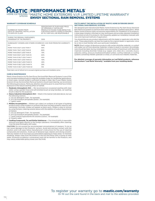## **C PERFORMANCE METALS®**

EXTERIORS I MASTIC HOME EXTERIORS V.I.P. LIMITED LIFETIME WARRANTY ENVOY SECTIONAL RAIN REMOVAL SYSTEMS

#### **WARRANTY COVERAGE SCHEDULE**

by PLY GEM

| NUMBER OF YEARS FROM<br>DATE OF ORIGINAL INSTALL ATION<br>TO DATE OF CLAIM | PERCENTAGE OF PURCHASE PRICE<br>OF ORIGINALLY INSTALLED<br>PRODUCTS FOUND TO BE DEFECTIVE<br>FOR WHICH MASTIC HOME EXTERIORS<br>BY PLY GEM WILL BE RESPONSIBLE |
|----------------------------------------------------------------------------|----------------------------------------------------------------------------------------------------------------------------------------------------------------|
| DURING THE ORIGINAL PURCHASER'S<br>OWNERSHIP OF THE PROPERTY:              | 100%                                                                                                                                                           |
|                                                                            | SUBSEQUENT OWNERS AND OTHERS COVERED BY A 50-YEAR PRORATED WARRANTY:                                                                                           |
| $O - 5$                                                                    | 100%                                                                                                                                                           |
| MORE THAN 5 BUT LESS THAN 7                                                | 90%                                                                                                                                                            |
| MORE THAN 7 BUT LESS THAN 8                                                | 80%                                                                                                                                                            |
| MORE THAN 8 BUT LESS THAN 9                                                | 70%                                                                                                                                                            |
| MORE THAN 9 BUT LESS THAN 10                                               | 60%                                                                                                                                                            |
| MORE THAN 10 BUT LESS THAN 11                                              | 50%                                                                                                                                                            |
| MORE THAN 11 BUT LESS THAN 12                                              | 40%                                                                                                                                                            |
| MORE THAN 12 BUT LESS THAN 13                                              | 30%                                                                                                                                                            |
| MORE THAN 13 BUT LESS THAN 14                                              | 20%                                                                                                                                                            |
| MORE THAN 14 BUT LESS THAN 50                                              | 10%                                                                                                                                                            |

Total claim cost of refund not to exceed original purchase and installation price.

#### **CARE & MAINTENANCE**

Mastic Home Exteriors by Ply Gem Envoy Sectional Rain Removal Systems is one of the most durable building products materials available today for residential applications. In most cases, normal rainfall is sufficient to keep it clean. But if your Mastic Home Exteriors Envoy Sectional Rain Removal Systems should need cleaning, we recommend the following procedures. Particular attention should be given to areas that have limited exposure to the natural washing effect of rainfall.

- 1. **Moderate Atmospheric Dirt** We recommend an occasional washing with clear water using a garden hose and soft-bristled brush (a long-handled, car-washing brush is ideal for this purpose).
- 2. **Heavy Industrial Atmospheric Dirt** Wash in the manner indicated above, but use the following solution:
- a. 1/3 cup detergent (Tide®, for example)
- b. 2/3 cup trisodium phosphate (Soilax®, for example)
- c. 1 gallon water
- 3. **Mildew Accumulation** Mildew can collect on surfaces of all types of building products and is often evident on surfaces that have not been properly cared for and maintained. Normally, mildew will appear as black spots. Mildew is easy to remove by using the basic cleaning solution above with the addition of sodium hypochlorite as follows:
	- a. 1/3 cup detergent (Tide®, for example)
	- b. 2/3 cup trisodium phosphate (Soilax®, for example)
	- c. 1 quart sodium hypochlorite 5% solution (Clorox®, for example)
	- d. 3 quarts water
- 4. **Caulking Compounds, Tar and Similar Substances** Use mineral spirits in reasonable amounts and apply directly to the foreign substance. Immediately after cleaning, rinse the area thoroughly with water.

CAUTION: Do not exceed the recommended concentrations of cleaners. To do so can cause damage to the Products' surface. Avoid skin and eye contact with the solution, and in all cases follow manufacturer's instructions for the use of cleaning compounds and solutions. Avoid use of abrasive-type cleaners and strong solvents. Test any cleaner on an inconspicuous area before applying to major areas. To minimize streaking, always clean from the bottom to the top and follow with a rinsing of clear water. Excessive scrubbing is unnecessary and can be harmful to the Products, and may cause undesirable glossy areas over the finish.

#### **FACTS ABOUT THE INSTALLATION OF MASTIC HOME EXTERIORS ENVOY SECTIONAL RAIN REMOVAL SYSTEMS**

We designed and manufactured Mastic Home Exteriors by Ply Gem Envoy Sectional Rain Removal Systems to perform best when installed by qualified applicators. While Mastic Home Exteriors does not assume responsibility for installation of its products, it does keep installers informed on new techniques and provides detailed installation instructions on all of its products. We frequently update our installation manuals with new and improved methods of application.

You should discuss any product adjustments with the dealer or applicator who did the work. These adjustments can best be made by the original dealer or applicator, since he or she is most familiar with your particular installation.

NOTE: Direct contact of aluminum products with certain dissimilar materials, or contact with water run-off from dissimilar materials, is likely to result in corrosion. Accordingly, care should be taken during installation to avoid contact of aluminum with dissimilar materials including dissimilar metals (e.g. copper, zinc, steel, etc.), concrete, stucco, asbestos siding, pressure treated/pretreated lumber, roofing materials or roofing systems containing metallic granules or strips, or corrosive non-metallic materials.

**For detailed coverage of warranty information on Leaf Relief products, reference the brochure "Leaf Relief Warranty," available from your installing dealer.**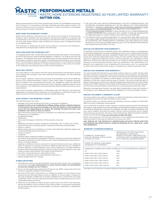**C | PERFORMANCE METALS®** 

EXTERIORS | MASTIC HOME EXTERIORS REGISTERED 20-YEAR LIMITED WARRANTY GUTTER COIL

Mastic Home Exteriors by Ply Gem manufactures Gutter Coil and Related Accessories (the "Products"), in accordance with high standards and tight quality controls. The Products will not rust, burn or support combustion, or split or crack due to cold weather because they are made of aluminum.

#### **WHAT DOES THIS WARRANTY COVER?**

Mastic Home Exteriors warrants to you, the owner of the property at the time the Products were installed, that the Products are free from defects in material and workmanship in the course of manufacture, and that the finish on the Products will not chip, peel, flake or blister under conditions of ordinary wear, if installed according to our specifications.

This Warranty is limited to the terms and conditions, exclusions and limitations, requirements and legal rights stated in this Warranty.

#### **HOW LONG DOES THE COVERAGE LAST?**

This Registered 20-Year Limited Warranty lasts for twenty (20) years on the property on which the Products were originally applied ("Property") so long as you own the Property. This Registered 20-Year Limited Warranty may be transferred one time with the Property. However, upon the transfer, the Warranty period will be no more than 20 years from the date of original installation of the Products on the Property, prorated in accordance with the Warranty Coverage Schedule below. In the event of a transfer of this Warranty, this Warranty may not be further transferred.

#### **WHAT WILL WE DO?**

You must notify us in accordance with the notice requirements outlined below, and we must validate the complaint. Upon the notification and validation, we will undertake the following:

We will repair, replace or refund the purchase and installation price of the defective portion of our siding that blisters, checks, crazes, flakes, peels or weathers unevenly due to a defect in our manufacturing process. Our obligations under this Warranty will in no event exceed the purchase price of the originally installed Products found to be defective. Any additional costs and expenses beyond these amounts are your responsibility.

In the event of repair, replacement or refinishing under this Warranty, the Warranty applicable to the replacement material or to the repaired or refinished Products will extend only for the time remaining under the original Warranty.

#### **WHAT DOESN'T THIS WARRANTY COVER?**

This Warranty does not cover:

- damage of any kind resulting from faulty or improper installation;
- changes in surface color resulting from chalking, fading, soiling or staining. Exposure to the elements may cause these changes over time; the degree to which weathering occurs will vary depending on air quality, the building's location and other local conditions over which we have no control;
- paint removal during forming due to improper (unconditional, uncovered) outside storage prior to installation;
- accidental damage;
- settlement;
- structural shrinkage or distortion of the property structure;
- fire;
- lightning, hurricane, tornado, windstorm, earthquake, hail, or other acts of God; • harmful chemicals (including harmful cleaning compounds and pesticides);
- fumes or vapors;
- deterioration due to air pollution or contact with dissimilar materials (please see "Care and Maintenance Instructions");
- misuse or abuse;
- vandalism; • airborne stains, mold and mildew accumulation;
- 
- your failure (or the failure of subsequent Property owners) to provide reasonable and necessary maintenance of the Products (see "Care and Maintenance Instructions"); • impact of foreign objects;
- warping or distortion due to exposure to excessive heat sources (e.g., barbecue grills) or exposure to unusual or excessive reflective heat sources (e.g., skylight or
- window reflection, roofing materials, pools, decks, blacktop or concrete materials); • Products that have been painted or whose surface has been altered in any way without written authorization from Mastic Home Exteriors;
- any other causes beyond our reasonable control;
- corrosion caused by contact with dissimilar materials; or
- gutters greater than 50' in length.

#### **OTHER LIMITATIONS**

- 1. This Warranty covers only genuine Mastic Home Exteriors Gutter Coil and Related Accessories. It is your responsibility to verify that the Gutter Coil and Related Accessories installed are our Products.
- 2. Due to normal weathering, replacement Products may differ in gloss and color from Products originally installed on the Property.
- 3. We reserve the right to discontinue or change any design or color of any of our Products at any time and without notice or liability. If, for any reason, Products of this type originally installed are no longer available from us at the time you make a Warranty claim, we may substitute another product determined by us to be of comparable quality and price.
- 4. There are no warranties on these Products other than as set forth in this Warranty. We are not liable to you for a breach of any other written or oral express warranties, such as those, if any, given to you by dealers, contractors, applicators, or distributors of the Products.
- 5. WE EXCLUDE AND ARE NOT RESPONSIBLE FOR ANY CONSEQUENTIAL OR INCIDENTAL DAMAGES ARISING OUT OF ANY BREACH OF THIS EXPRESSED WARRANTY, OR ANY OTHER ORAL, WRITTEN OR IMPLIED WARRANTY THAT MAY APPLY TO YOUR PURCHASE, AS IT RELATES TO OUR PRODUCTS. THIS IS YOUR EXCLUSIVE WARRANTY AND IS IN LIEU OF ALL OTHER WARRANTIES,
- EXPRESS OR IMPLIED, INCLUDING BUT NOT LIMITED TO IMPLIED WARRANTIES OF MERCHANTABILITY AND FITNESS FOR A PARTICULAR PURPOSE.
- 6. This Warranty gives you specific legal rights. You may also have other rights which vary from state to state. SOME STATES DO NOT ALLOW THE EXCLUSION OR LIMITATION OF INCIDENTAL OR CONSEQUENTIAL DAMAGES, and some states do not allow limitations on how long an implied Warranty lasts, SO THE ABOVE LIMITATION OR EXCLUSION MAY NOT APPLY TO YOU.

#### **HOW DO YOU REGISTER YOUR WARRANTY?**

For all Mastic Home Exteriors materials used on this installation project, one Application for Warranty Registration must be completed at mastic.com or mailed within 30 days after original installation has been completed. Please mail it to Mastic Home Exteriors by Ply Gem, Warranty Registration Data Center, P.O. Box 110100, Pittsburg, PA 15232. Failure to register the Warranty will not void the Warranty, but registration of this Warranty confirms the date of purchase of our Products and assists Mastic Home Exteriors in processing any Warranty claim you might have. This confirmation is of benefit to you, especially if your original proof of purchase is lost. It is a good idea to retain your proof of purchase incase it is needed if you submit a warranty claim.

#### **HOW DO YOU TRANSFER YOUR WARRANTY?**

You may transfer this Warranty by providing written notice to us within 30 days after the date of transfer of ownership. In the event a transfer of this Warranty, this Warranty may not be further transferred. The notice should include the Warranty Registration Number (if available), the address of the Property, the name and mailing address (if different) of the new owners and the date of transfer. The notice should be sent to Mastic Home Exteriors by Ply Gem, Warranty Registration Data Center, P.O. Box 110100, Pittsburg, PA 15232. Failure to notify Mastic Home Exteriors will not void the Warranty, but the notice will assist Mastic Home Exteriors in processing any Warranty claim.

Warranty coverage upon transfer is as described in detail above. Upon any transfer of the Property, your obligations become the obligations of the new Property owners.

#### **HOW DO YOU SUBMIT A WARRANTY CLAIM?**

You must submit your claim in writing to us within the Warranty period and within a reasonable period of time after the defect is discovered.

To initiate a claim, you should contact our Warranty services number at 1-800-962- 3563 to receive a Warranty claims packet.

If you would like to submit a claim request in writing, please provide the following information: a description of the claimed defect and the date the defect was discovered; the Warranty Registration Number (if available); the date of original installation; and your name, address and phone number. Written claims should be sent to Mastic Home Exteriors by Ply Gem, Warranty Claims Department, 2600 Grand Blvd, Ste 900, Kansas City MO 64108 or fax your information to 816-426-8210.

Mastic Home Exteriors will provide notification of any additional information and physical evidence that may be required to process your claim.

ANY REPAIR OF THE PRODUCTS UNDERTAKEN WITHOUT PRIOR WRITTEN AUTHORIZATION FROM MASTIC HOME EXTERIORS BY PLY GEM WILL VOID THIS WARRANTY.

#### **WARRANTY COVERAGE SCHEDULE**

| NUMBER OF YEARS FROM<br>DATE OF ORIGINAL INSTALLATION<br>TO DATE OF CLAIM | PERCENTAGE OF PURCHASE PRICE<br>OF ORIGINALLY INSTALLED<br>PRODUCTS FOUND TO BE DEFECTIVE<br>FOR WHICH MASTIC HOME EXTERIORS<br>BY PLY GEM WILL BE RESPONSIBLE |  |
|---------------------------------------------------------------------------|----------------------------------------------------------------------------------------------------------------------------------------------------------------|--|
| DURING THE ORIGINAL PURCHASER'S<br>OWNERSHIP OF THE PROPERTY:             | 100%                                                                                                                                                           |  |
| SUBSEQUENT OWNERS AND OTHERS COVERED BY A 20-YEAR PRORATED WARRANTY:      |                                                                                                                                                                |  |
| $O - 4$                                                                   | 100%                                                                                                                                                           |  |
| MORE THAN 4 BUT LESS THAN 6                                               | 70%                                                                                                                                                            |  |
| MORE THAN 6 BUT LESS THAN 8                                               | 50%                                                                                                                                                            |  |
| MORE THAN 8 BUT LESS THAN 10                                              | 40%                                                                                                                                                            |  |
| MORE THAN 10 BUT LESS THAN 12                                             | 30%                                                                                                                                                            |  |
| MORE THAN 12 BUT LESS THAN 14                                             | 20%                                                                                                                                                            |  |
| MORE THAN 14 BUT LESS THAN 20                                             | 10%                                                                                                                                                            |  |

Total claim cost of refund not to exceed original purchase and installation price.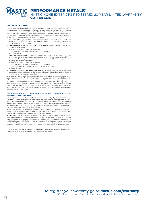**IC IPERFORMANCE METALS®** HOME EXTERIORS <sup>I</sup> MASTIC HOME EXTERIORS REGISTERED 20-YEAR LIMITED WARRANTY by PLY GEM GUTTER COIL

#### **CARE AND MAINTENANCE**

Mastic Home Exteriors by Ply Gem Gutter Coil and Related Accessories are some of the most durable building product materials available today for residential applications. In most cases, normal rainfall is sufficient to keep them clean. But if your Mastic Home Exteriors Gutter Coil and Related Accessories should need cleaning, we recommend the following procedures. Particular attention should be given to areas that have limited exposure to the natural washing effect of rainfall.

- 1. **Moderate Atmospheric Dirt** We recommend an occasional washing with clear water using a garden hose and soft-bristled brush (a long-handled, car-washing brush is ideal for this purpose).
- 2. **Heavy Industrial Atmospheric Dirt**  Wash in the manner indicated above, but use the following solution:
- a. 1/3 cup detergent (Tide®, for example)
- b. 2/3 cup trisodium phosphate (Soilax®, for example)
- c. 1 gallon water
- 3. **Mildew Accumulation** Mildew can collect on surfaces of all types of building products and is often evident on surfaces that have not been properly cared for and maintained. Normally, mildew will appear as black spots. Mildew is easy to remove by using the following solution:
	- a. 1/3 cup detergent (Tide®, for example)
	- b. 2/3 cup trisodium phosphate (Soilax®, for example) c. 1 quart sodium hypochlorite 5% solution (Clorox®, for example)
	- d. 3 quarts water
- 4. **Caulking Compounds, Tar and Similar Substances** Use mineral spirits in reasonable amounts and apply directly to the foreign substance. Immediately after cleaning, rinse the area thoroughly with water.

CAUTION: Do not exceed the recommended concentrations of cleaners. To do so can cause damage to the Product. Avoid skin and eye contact with the solution, and in all cases follow manufacturers' instructions for the use of cleaning compounds and solutions. Avoid use of abrasive-type cleaners and strong solvents. Test any cleaner on an inconspicuous area before applying to major areas. To minimize streaking, always clean from the bottom to the top and follow with a rinsing of clear water. Excessive scrubbing is unnecessary and can be harmful to the Products, and may cause undesirable glossy areas over the finish.

#### **FACTS ABOUT THE INSTALLATION OF MASTIC HOME EXTERIORS GUTTER COIL AND RELATED ACCESSORIES**

We designed and manufactured Mastic Home Exteriors by Ply Gem Gutter Coil and Related Accessories to perform best when installed by qualified applicators. While Mastic Home Exteriors does not assume responsibility for installation of its products, it does keep installers informed on new techniques and provides detailed installation instructions on all of its products. We frequently update our installation manuals with new and improved methods of application.

You should discuss any product adjustments with the dealer or applicator who did the work. These adjustments can best be made by the original dealer or applicator, since he or she is most familiar with your particular installation.

NOTE: Direct contact of aluminum products with certain dissimilar materials, or contact with water run-off from dissimilar materials, is likely to result in corrosion. Accordingly, care should be taken during installation to avoid contact of aluminum with dissimilar materials including: dissimilar metals (e.g. copper, zinc, steel, etc.), concrete, stucco, asbestos siding, pressure treated/pretreated lumber, roofing materials or roofing systems containing metallic granules or strips, or corrosive non-metallic materials.

\*For detailed coverage of warranty information on Leaf Relief products, reference the "Leaf Relief Warranty" available from your installing dealer.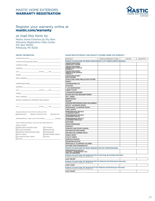## MASTIC HOME EXTERIORS WARRANTY REGISTRATION



## Register your warranty online at mastic.com/warranty

## or mail this form to:

Mastic Home Exteriors by Ply Gem Warranty Registration Data Center P.O. Box 110100 Pittsburg, PA 15232

#### **PROJECT INFORMATION:**

#### **PLEASE INDICATE PRODUCT AND QUANTITY COVERED UNDER THIS WARRANTY:**

| COMPLETION DATE: COMPLETION DATE:                                                                                                                                                                                              |  |                           |  |
|--------------------------------------------------------------------------------------------------------------------------------------------------------------------------------------------------------------------------------|--|---------------------------|--|
| CONTRACTOR (BUILDER) NAME: <b>Annual CONTRACTOR</b>                                                                                                                                                                            |  |                           |  |
|                                                                                                                                                                                                                                |  |                           |  |
| ADDRESS: ARRAIGNMENT CONTROLLER CONTROLLER CONTROLLER CONTROLLER CONTROLLER CONTROLLER CONTROLLER CONTROLLER CONTROLLER CONTROLLER CONTROLLER CONTROLLER CONTROLLER CONTROLLER CONTROLLER CONTROLLER CONTROLLER CONTROLLER CON |  |                           |  |
|                                                                                                                                                                                                                                |  |                           |  |
|                                                                                                                                                                                                                                |  |                           |  |
|                                                                                                                                                                                                                                |  |                           |  |
|                                                                                                                                                                                                                                |  |                           |  |
| HOMEOWNER NAME: NAME:                                                                                                                                                                                                          |  |                           |  |
|                                                                                                                                                                                                                                |  |                           |  |
|                                                                                                                                                                                                                                |  |                           |  |
|                                                                                                                                                                                                                                |  |                           |  |
| EMAIL ADDRESS: WAS ARRESTED FOR A STRUCK AND THE STRUCK AND THE STRUCK AND THE STRUCK OF THE STRUCK OF THE STRUCK OF THE STRUCK OF THE STRUCK OF THE STRUCK OF THE STRUCK OF THE STRUCK OF THE STRUCK OF THE STRUCK OF THE STR |  |                           |  |
| PROJECT ADDRESS (IF DIFFERENT FROM ABOVE):                                                                                                                                                                                     |  |                           |  |
|                                                                                                                                                                                                                                |  |                           |  |
|                                                                                                                                                                                                                                |  |                           |  |
|                                                                                                                                                                                                                                |  |                           |  |
| PLEASE INDICATE THE TYPE OF APPLICATION:                                                                                                                                                                                       |  |                           |  |
| $\Box$ REMODELING $\Box$ NEW CONSTRUCTION $\Box$ ADDITION                                                                                                                                                                      |  |                           |  |
| APPROXIMATELY, HOW OLD IS THE HOME? YEAR(S).                                                                                                                                                                                   |  |                           |  |
|                                                                                                                                                                                                                                |  |                           |  |
| WHAT SIDING MATERIAL WAS ON THE HOME PRIOR TO                                                                                                                                                                                  |  |                           |  |
| <b>INSTALLATION?</b><br>$\Box$ NONE (NEW CONSTRUCTION)                                                                                                                                                                         |  | <b>PLYWOOD</b>            |  |
| STUCCO/CONCRETE                                                                                                                                                                                                                |  | <b>BRICK/STONE</b>        |  |
| ORIENTED STRAND BOARD (OSB)                                                                                                                                                                                                    |  | □ HARDBOARD               |  |
| NINYL SIDING                                                                                                                                                                                                                   |  | <b>THER CEMENT SIDING</b> |  |
| ALUMINUM/STEEL SIDING                                                                                                                                                                                                          |  | ∩ wood                    |  |
|                                                                                                                                                                                                                                |  |                           |  |
|                                                                                                                                                                                                                                |  |                           |  |
|                                                                                                                                                                                                                                |  |                           |  |

| <b>PRODUCT</b>                                                                                                                | PROFILE/PRODUCT CODE | COLOR | <b>QUANTITY</b> |
|-------------------------------------------------------------------------------------------------------------------------------|----------------------|-------|-----------------|
| Products Covered under the Mastic Home Exteriors V.I.P. Limited Lifetime Warranty:                                            |                      |       |                 |
| <b>CEDAR DISCOVERY</b><br>HAND-SPLIT SHAKE                                                                                    |                      |       |                 |
| <b>CEDAR DISCOVERY®</b><br>PERFECTION SHINGLE<br>DOUBLE 7"                                                                    |                      |       |                 |
| <b>CEDAR DISCOVERY®</b><br>PERFECTION SHINGLE<br><b>TRIPLE 5"</b>                                                             |                      |       |                 |
| <b>CEDAR DISCOVERY®</b><br><b>HALF-ROUND</b>                                                                                  |                      |       |                 |
| <b>STRUCTURE HOME INSULATION SYSTEM®</b>                                                                                      |                      |       |                 |
| QUEST <sup>®</sup>                                                                                                            |                      |       |                 |
| CARVEDWOOD*44"                                                                                                                |                      |       |                 |
| <b>OVATION</b>                                                                                                                |                      |       |                 |
| <b>T-LOK BARKWOOD®</b>                                                                                                        |                      |       |                 |
| <b>LIBERTY ELITE*</b>                                                                                                         |                      |       |                 |
| <b>CHARLESTON BEADED®</b>                                                                                                     |                      |       |                 |
| <b>BOARD+BATTEN DESIGNER SERIES"</b>                                                                                          |                      |       |                 |
| <b>MILL CREEK®</b>                                                                                                            |                      |       |                 |
| <b>BRENTWOOD®</b>                                                                                                             |                      |       |                 |
| <b>ECLIPSE</b>                                                                                                                |                      |       |                 |
| PASSAGE PERFORMANCE SHAKE AND SHINGLE                                                                                         |                      |       |                 |
| <b>ENVOY® ALUMINUM SIDING</b>                                                                                                 |                      |       |                 |
| <b>ENDURANCE® ALUMINUM SIDING</b>                                                                                             |                      |       |                 |
| <b>VINYL SOFFIT</b>                                                                                                           |                      |       |                 |
| PERFORMANCE METALS®<br><b>ALUMINUM SOFFIT</b>                                                                                 |                      |       |                 |
| PERFORMANCE METALS®<br><b>ALUMINUM FASCIA</b>                                                                                 |                      |       |                 |
| PERFORMANCE METALS®<br><b>ALUMINUM TRIM COIL</b>                                                                              |                      |       |                 |
| <b>SHUTTERS</b>                                                                                                               |                      |       |                 |
| <b>DOOR SURROUNDS</b>                                                                                                         |                      |       |                 |
| <b>MANTELS</b>                                                                                                                |                      |       |                 |
| <b>WINDOW AND DOOR CASINGS</b>                                                                                                |                      |       |                 |
| <b>DECORATIVE MOULDINGS</b>                                                                                                   |                      |       |                 |
| <b>DECORATIVE CORNER POSTS</b>                                                                                                |                      |       |                 |
| <b>GABLE VENTS</b>                                                                                                            |                      |       |                 |
| <b>UTILITY VENTS</b>                                                                                                          |                      |       |                 |
| <b>SURFACE MOUNTS</b>                                                                                                         |                      |       |                 |
| <b>MOUNTING BLOCKS</b>                                                                                                        |                      |       |                 |
| MONTICELLO ALUMINUM COLUMNS                                                                                                   |                      |       |                 |
| <b>GUTTERS AND DOWNSPOUTS</b>                                                                                                 |                      |       |                 |
| Products Covered under the Mastic Registered 20-Year Limited Warranty:                                                        |                      |       |                 |
| <b>PERFORMANCE METALS®</b><br><b>GUTTER + DOWNSPOUT COIL</b><br><b>AND ACCESSORIES</b>                                        |                      |       |                 |
| Products Covered under the Registered 25-Year No-Clog, No Overflow Warranty:<br>(REFERENCE SEPARATE WARRANTY FOR DETAILS)     |                      |       |                 |
| <b>LEAF RELIEF®</b>                                                                                                           |                      |       |                 |
| Products Covered under the Registered 20-Year Material and Performance Warranty:<br>(REFERENCE SEPARATE WARRANTY FOR DETAILS) |                      |       |                 |
| <b>LEAF LOGIC"</b>                                                                                                            |                      |       |                 |
| Products Covered under the Registered 5-Year Material and Performance Warranty:<br>(REFERENCE SEPARATE WARRANTY FOR DETAILS)  |                      |       |                 |
| <b>LEAF SMART</b> "                                                                                                           |                      |       |                 |
|                                                                                                                               |                      |       |                 |